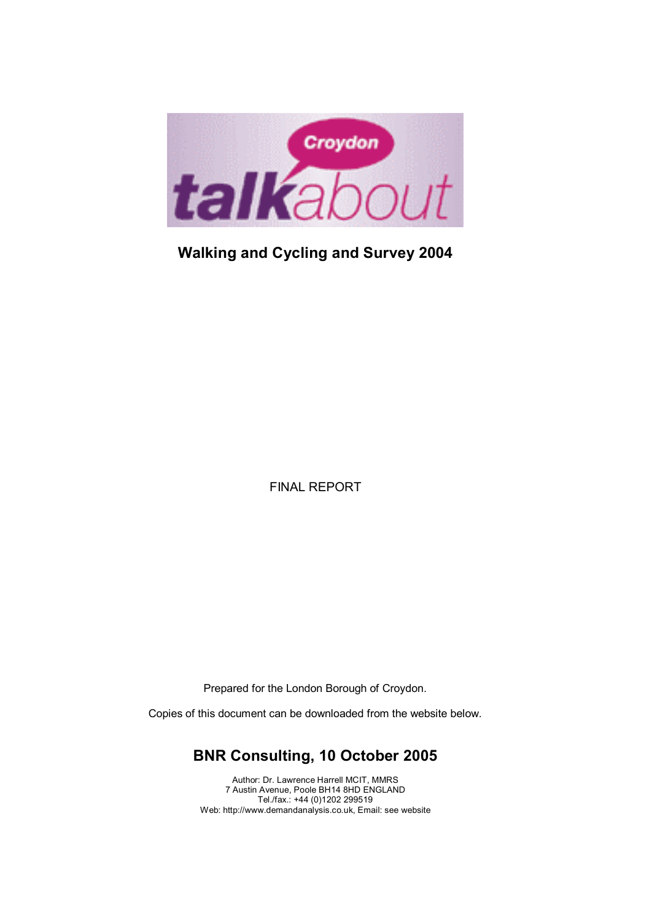

# **Walking and Cycling and Survey 2004**

FINAL REPORT

Prepared for the London Borough of Croydon.

Copies of this document can be downloaded from the website below.

### **BNR Consulting, 10 October 2005**

Author: Dr. Lawrence Harrell MCIT, MMRS 7 Austin Avenue, Poole BH14 8HD ENGLAND Tel./fax.: +44 (0)1202 299519 Web: http://www.demandanalysis.co.uk, Email: see website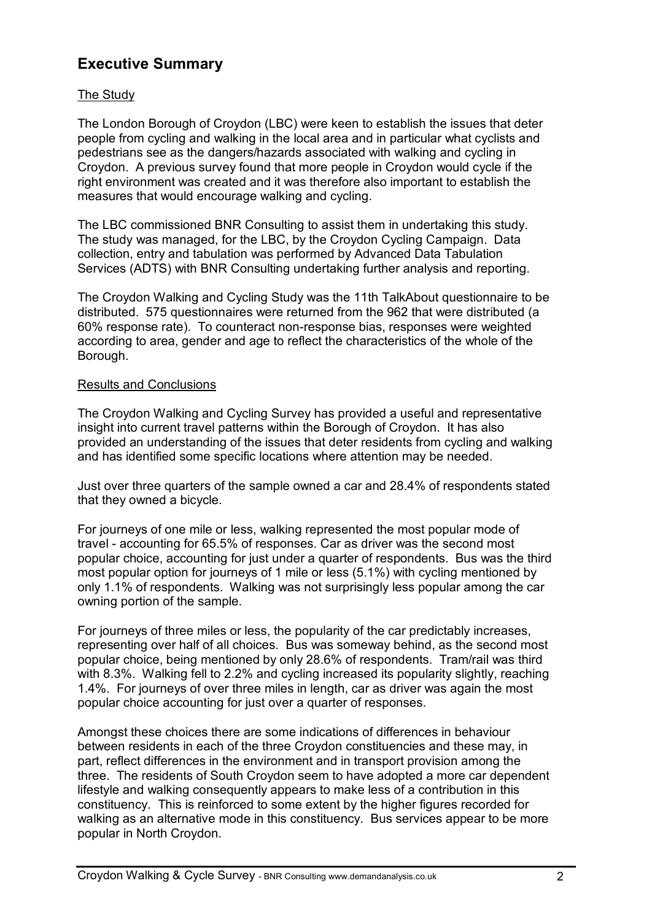### **Executive Summary**

### The Study

The London Borough of Croydon (LBC) were keen to establish the issues that deter people from cycling and walking in the local area and in particular what cyclists and pedestrians see as the dangers/hazards associated with walking and cycling in Croydon. A previous survey found that more people in Croydon would cycle if the right environment was created and it was therefore also important to establish the measures that would encourage walking and cycling.

The LBC commissioned BNR Consulting to assist them in undertaking this study. The study was managed, for the LBC, by the Croydon Cycling Campaign. Data collection, entry and tabulation was performed by Advanced Data Tabulation Services (ADTS) with BNR Consulting undertaking further analysis and reporting.

The Croydon Walking and Cycling Study was the 11th TalkAbout questionnaire to be distributed. 575 questionnaires were returned from the 962 that were distributed (a 60% response rate). To counteract non-response bias, responses were weighted according to area, gender and age to reflect the characteristics of the whole of the Borough.

#### Results and Conclusions

The Croydon Walking and Cycling Survey has provided a useful and representative insight into current travel patterns within the Borough of Croydon. It has also provided an understanding of the issues that deter residents from cycling and walking and has identified some specific locations where attention may be needed.

Just over three quarters of the sample owned a car and 28.4% of respondents stated that they owned a bicycle.

For journeys of one mile or less, walking represented the most popular mode of travel - accounting for 65.5% of responses. Car as driver was the second most popular choice, accounting for just under a quarter of respondents. Bus was the third most popular option for journeys of 1 mile or less (5.1%) with cycling mentioned by only 1.1% of respondents. Walking was not surprisingly less popular among the car owning portion of the sample.

For journeys of three miles or less, the popularity of the car predictably increases, representing over half of all choices. Bus was someway behind, as the second most popular choice, being mentioned by only 28.6% of respondents. Tram/rail was third with 8.3%. Walking fell to 2.2% and cycling increased its popularity slightly, reaching 1.4%. For journeys of over three miles in length, car as driver was again the most popular choice accounting for just over a quarter of responses.

Amongst these choices there are some indications of differences in behaviour between residents in each of the three Croydon constituencies and these may, in part, reflect differences in the environment and in transport provision among the three. The residents of South Croydon seem to have adopted a more car dependent lifestyle and walking consequently appears to make less of a contribution in this constituency. This is reinforced to some extent by the higher figures recorded for walking as an alternative mode in this constituency. Bus services appear to be more popular in North Croydon.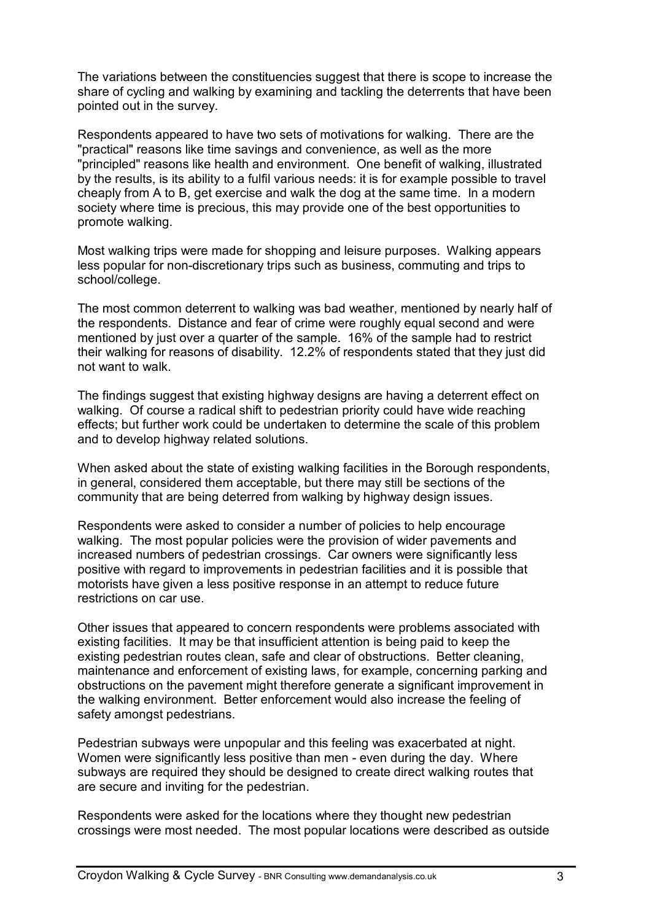The variations between the constituencies suggest that there is scope to increase the share of cycling and walking by examining and tackling the deterrents that have been pointed out in the survey.

Respondents appeared to have two sets of motivations for walking. There are the "practical" reasons like time savings and convenience, as well as the more "principled" reasons like health and environment. One benefit of walking, illustrated by the results, is its ability to a fulfil various needs: it is for example possible to travel cheaply from A to B, get exercise and walk the dog at the same time. In a modern society where time is precious, this may provide one of the best opportunities to promote walking.

Most walking trips were made for shopping and leisure purposes. Walking appears less popular for non-discretionary trips such as business, commuting and trips to school/college.

The most common deterrent to walking was bad weather, mentioned by nearly half of the respondents. Distance and fear of crime were roughly equal second and were mentioned by just over a quarter of the sample. 16% of the sample had to restrict their walking for reasons of disability. 12.2% of respondents stated that they just did not want to walk.

The findings suggest that existing highway designs are having a deterrent effect on walking. Of course a radical shift to pedestrian priority could have wide reaching effects; but further work could be undertaken to determine the scale of this problem and to develop highway related solutions.

When asked about the state of existing walking facilities in the Borough respondents, in general, considered them acceptable, but there may still be sections of the community that are being deterred from walking by highway design issues.

Respondents were asked to consider a number of policies to help encourage walking. The most popular policies were the provision of wider pavements and increased numbers of pedestrian crossings. Car owners were significantly less positive with regard to improvements in pedestrian facilities and it is possible that motorists have given a less positive response in an attempt to reduce future restrictions on car use.

Other issues that appeared to concern respondents were problems associated with existing facilities. It may be that insufficient attention is being paid to keep the existing pedestrian routes clean, safe and clear of obstructions. Better cleaning, maintenance and enforcement of existing laws, for example, concerning parking and obstructions on the pavement might therefore generate a significant improvement in the walking environment. Better enforcement would also increase the feeling of safety amongst pedestrians.

Pedestrian subways were unpopular and this feeling was exacerbated at night. Women were significantly less positive than men - even during the day. Where subways are required they should be designed to create direct walking routes that are secure and inviting for the pedestrian.

Respondents were asked for the locations where they thought new pedestrian crossings were most needed. The most popular locations were described as outside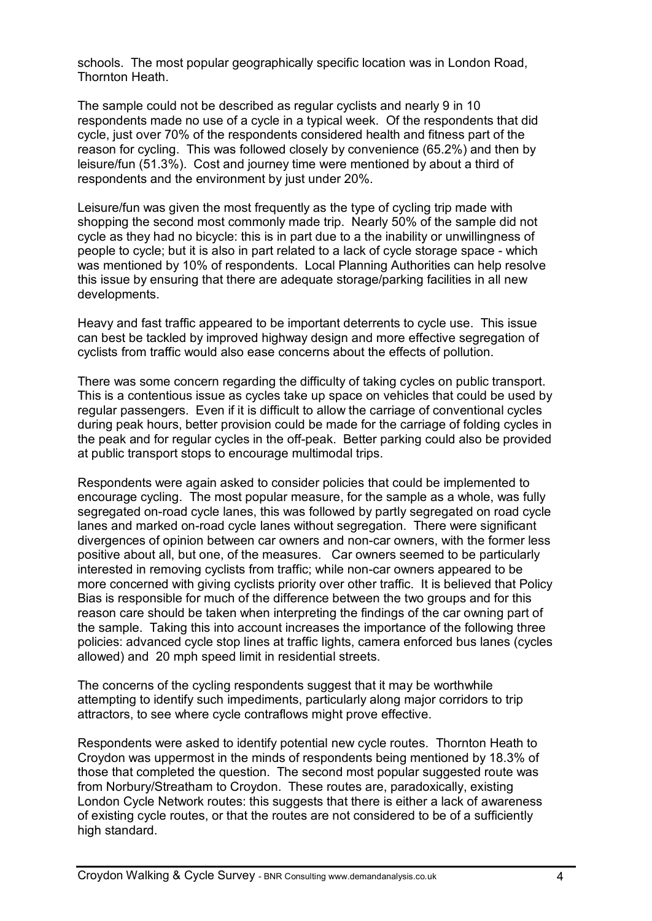schools. The most popular geographically specific location was in London Road, Thornton Heath.

The sample could not be described as regular cyclists and nearly 9 in 10 respondents made no use of a cycle in a typical week. Of the respondents that did cycle, just over 70% of the respondents considered health and fitness part of the reason for cycling. This was followed closely by convenience (65.2%) and then by leisure/fun (51.3%). Cost and journey time were mentioned by about a third of respondents and the environment by just under 20%.

Leisure/fun was given the most frequently as the type of cycling trip made with shopping the second most commonly made trip. Nearly 50% of the sample did not cycle as they had no bicycle: this is in part due to a the inability or unwillingness of people to cycle; but it is also in part related to a lack of cycle storage space - which was mentioned by 10% of respondents. Local Planning Authorities can help resolve this issue by ensuring that there are adequate storage/parking facilities in all new developments.

Heavy and fast traffic appeared to be important deterrents to cycle use. This issue can best be tackled by improved highway design and more effective segregation of cyclists from traffic would also ease concerns about the effects of pollution.

There was some concern regarding the difficulty of taking cycles on public transport. This is a contentious issue as cycles take up space on vehicles that could be used by regular passengers. Even if it is difficult to allow the carriage of conventional cycles during peak hours, better provision could be made for the carriage of folding cycles in the peak and for regular cycles in the off-peak. Better parking could also be provided at public transport stops to encourage multimodal trips.

Respondents were again asked to consider policies that could be implemented to encourage cycling. The most popular measure, for the sample as a whole, was fully segregated on-road cycle lanes, this was followed by partly segregated on road cycle lanes and marked on-road cycle lanes without segregation. There were significant divergences of opinion between car owners and non-car owners, with the former less positive about all, but one, of the measures. Car owners seemed to be particularly interested in removing cyclists from traffic; while non-car owners appeared to be more concerned with giving cyclists priority over other traffic. It is believed that Policy Bias is responsible for much of the difference between the two groups and for this reason care should be taken when interpreting the findings of the car owning part of the sample. Taking this into account increases the importance of the following three policies: advanced cycle stop lines at traffic lights, camera enforced bus lanes (cycles allowed) and 20 mph speed limit in residential streets.

The concerns of the cycling respondents suggest that it may be worthwhile attempting to identify such impediments, particularly along major corridors to trip attractors, to see where cycle contraflows might prove effective.

Respondents were asked to identify potential new cycle routes. Thornton Heath to Croydon was uppermost in the minds of respondents being mentioned by 18.3% of those that completed the question. The second most popular suggested route was from Norbury/Streatham to Croydon. These routes are, paradoxically, existing London Cycle Network routes: this suggests that there is either a lack of awareness of existing cycle routes, or that the routes are not considered to be of a sufficiently high standard.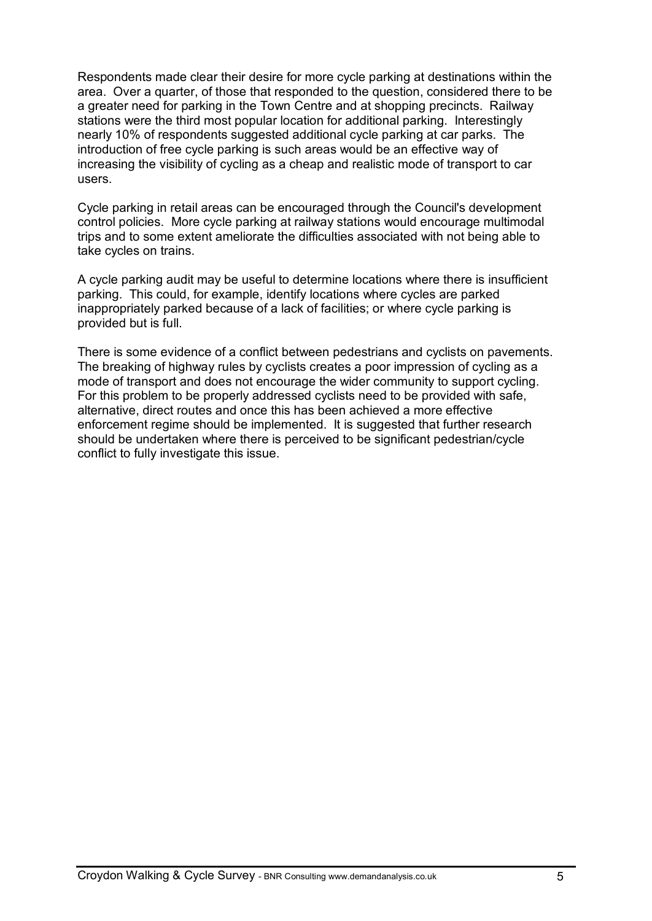Respondents made clear their desire for more cycle parking at destinations within the area. Over a quarter, of those that responded to the question, considered there to be a greater need for parking in the Town Centre and at shopping precincts. Railway stations were the third most popular location for additional parking. Interestingly nearly 10% of respondents suggested additional cycle parking at car parks. The introduction of free cycle parking is such areas would be an effective way of increasing the visibility of cycling as a cheap and realistic mode of transport to car users.

Cycle parking in retail areas can be encouraged through the Council's development control policies. More cycle parking at railway stations would encourage multimodal trips and to some extent ameliorate the difficulties associated with not being able to take cycles on trains.

A cycle parking audit may be useful to determine locations where there is insufficient parking. This could, for example, identify locations where cycles are parked inappropriately parked because of a lack of facilities; or where cycle parking is provided but is full.

There is some evidence of a conflict between pedestrians and cyclists on pavements. The breaking of highway rules by cyclists creates a poor impression of cycling as a mode of transport and does not encourage the wider community to support cycling. For this problem to be properly addressed cyclists need to be provided with safe, alternative, direct routes and once this has been achieved a more effective enforcement regime should be implemented. It is suggested that further research should be undertaken where there is perceived to be significant pedestrian/cycle conflict to fully investigate this issue.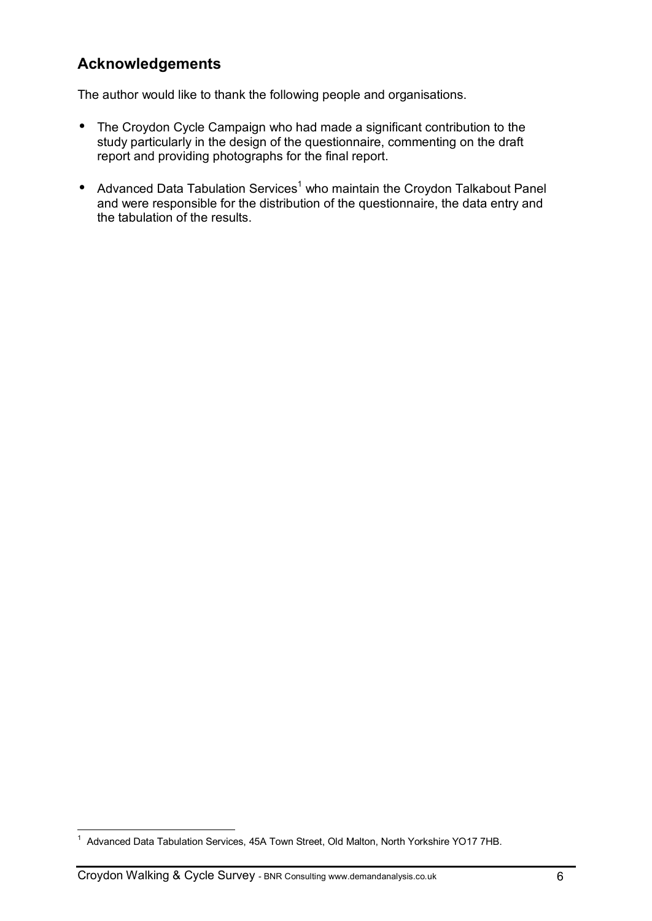### **Acknowledgements**

The author would like to thank the following people and organisations.

- The Croydon Cycle Campaign who had made a significant contribution to the study particularly in the design of the questionnaire, commenting on the draft report and providing photographs for the final report.
- Advanced Data Tabulation Services<sup>1</sup> who maintain the Croydon Talkabout Panel and were responsible for the distribution of the questionnaire, the data entry and the tabulation of the results.

 1 Advanced Data Tabulation Services, 45A Town Street, Old Malton, North Yorkshire YO17 7HB.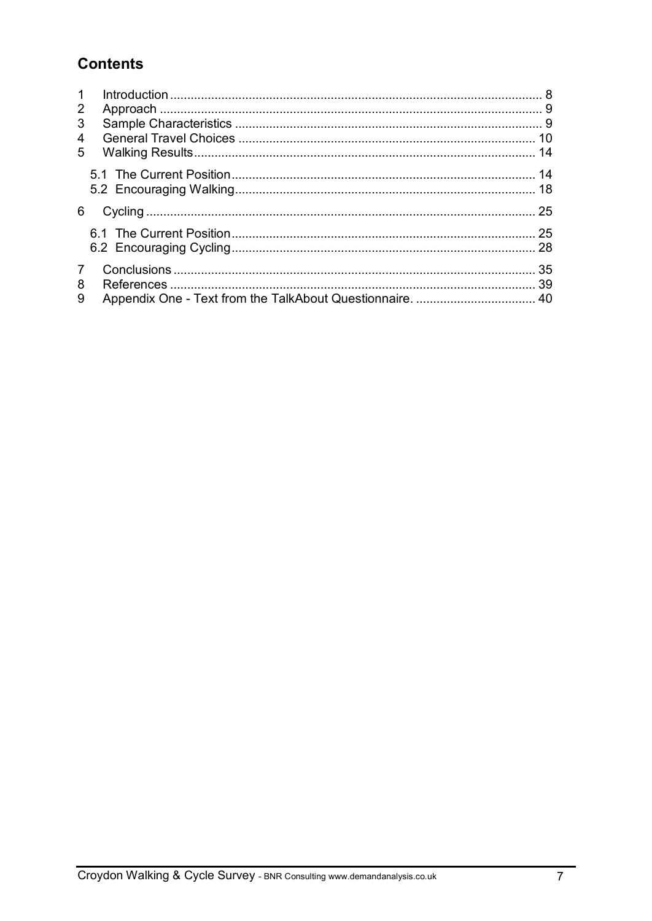# **Contents**

| $\mathbf 1$<br>$\overline{2}$<br>3<br>4<br>5 |    |
|----------------------------------------------|----|
|                                              |    |
| 6                                            | 25 |
|                                              |    |
| $\overline{7}$<br>8<br>9                     | 35 |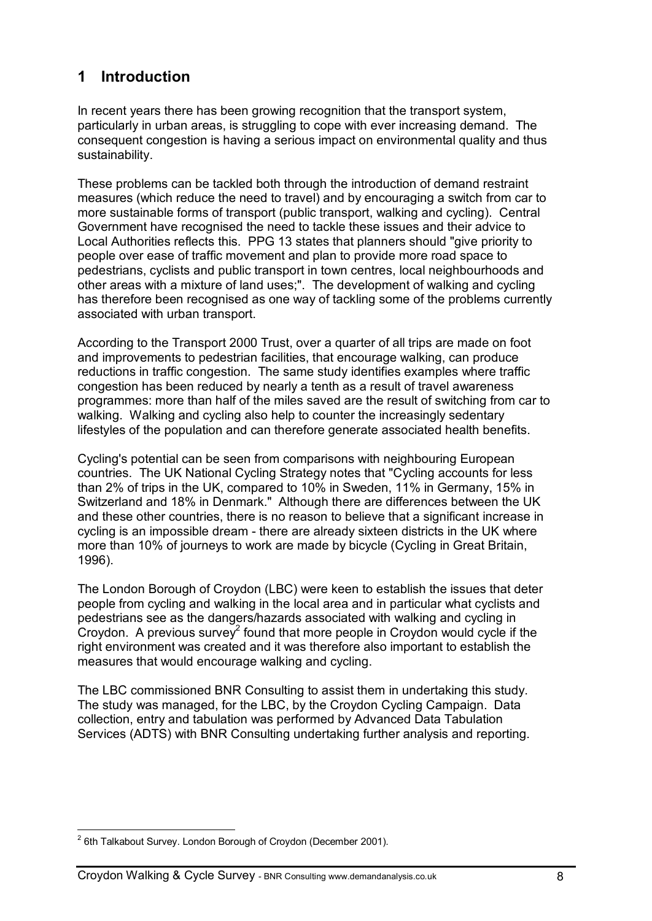## **1 Introduction**

In recent years there has been growing recognition that the transport system, particularly in urban areas, is struggling to cope with ever increasing demand. The consequent congestion is having a serious impact on environmental quality and thus sustainability.

These problems can be tackled both through the introduction of demand restraint measures (which reduce the need to travel) and by encouraging a switch from car to more sustainable forms of transport (public transport, walking and cycling). Central Government have recognised the need to tackle these issues and their advice to Local Authorities reflects this. PPG 13 states that planners should "give priority to people over ease of traffic movement and plan to provide more road space to pedestrians, cyclists and public transport in town centres, local neighbourhoods and other areas with a mixture of land uses;". The development of walking and cycling has therefore been recognised as one way of tackling some of the problems currently associated with urban transport.

According to the Transport 2000 Trust, over a quarter of all trips are made on foot and improvements to pedestrian facilities, that encourage walking, can produce reductions in traffic congestion. The same study identifies examples where traffic congestion has been reduced by nearly a tenth as a result of travel awareness programmes: more than half of the miles saved are the result of switching from car to walking. Walking and cycling also help to counter the increasingly sedentary lifestyles of the population and can therefore generate associated health benefits.

Cycling's potential can be seen from comparisons with neighbouring European countries. The UK National Cycling Strategy notes that "Cycling accounts for less than 2% of trips in the UK, compared to 10% in Sweden, 11% in Germany, 15% in Switzerland and 18% in Denmark." Although there are differences between the UK and these other countries, there is no reason to believe that a significant increase in cycling is an impossible dream - there are already sixteen districts in the UK where more than 10% of journeys to work are made by bicycle (Cycling in Great Britain, 1996).

The London Borough of Croydon (LBC) were keen to establish the issues that deter people from cycling and walking in the local area and in particular what cyclists and pedestrians see as the dangers/hazards associated with walking and cycling in Croydon. A previous survey<sup>2</sup> found that more people in Croydon would cycle if the right environment was created and it was therefore also important to establish the measures that would encourage walking and cycling.

The LBC commissioned BNR Consulting to assist them in undertaking this study. The study was managed, for the LBC, by the Croydon Cycling Campaign. Data collection, entry and tabulation was performed by Advanced Data Tabulation Services (ADTS) with BNR Consulting undertaking further analysis and reporting.

 2 6th Talkabout Survey. London Borough of Croydon (December 2001).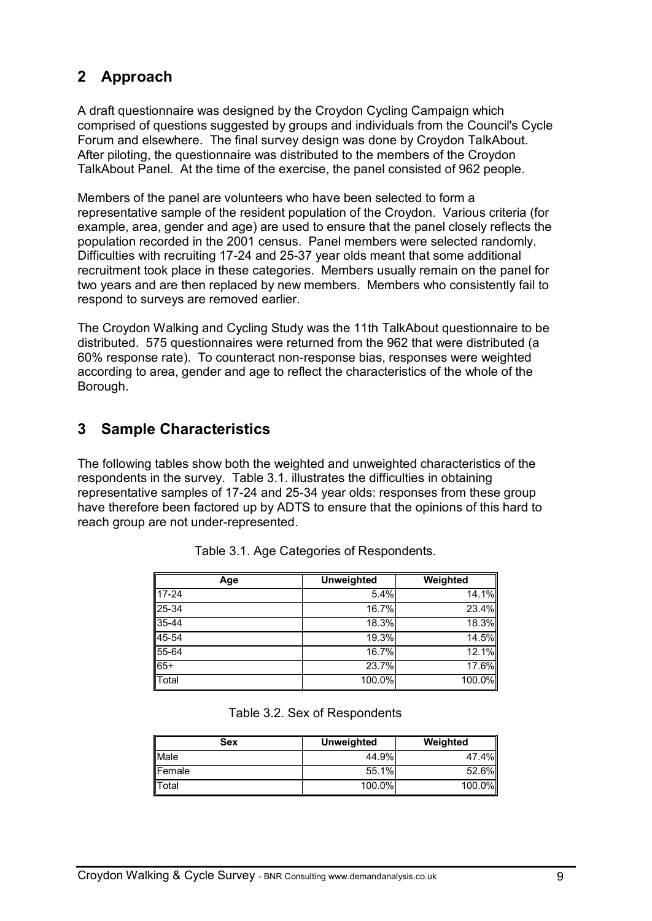# **2 Approach**

A draft questionnaire was designed by the Croydon Cycling Campaign which comprised of questions suggested by groups and individuals from the Council's Cycle Forum and elsewhere. The final survey design was done by Croydon TalkAbout. After piloting, the questionnaire was distributed to the members of the Croydon TalkAbout Panel. At the time of the exercise, the panel consisted of 962 people.

Members of the panel are volunteers who have been selected to form a representative sample of the resident population of the Croydon. Various criteria (for example, area, gender and age) are used to ensure that the panel closely reflects the population recorded in the 2001 census. Panel members were selected randomly. Difficulties with recruiting 17-24 and 25-37 year olds meant that some additional recruitment took place in these categories. Members usually remain on the panel for two years and are then replaced by new members. Members who consistently fail to respond to surveys are removed earlier.

The Croydon Walking and Cycling Study was the 11th TalkAbout questionnaire to be distributed. 575 questionnaires were returned from the 962 that were distributed (a 60% response rate). To counteract non-response bias, responses were weighted according to area, gender and age to reflect the characteristics of the whole of the Borough.

### **3 Sample Characteristics**

The following tables show both the weighted and unweighted characteristics of the respondents in the survey. Table 3.1. illustrates the difficulties in obtaining representative samples of 17-24 and 25-34 year olds: responses from these group have therefore been factored up by ADTS to ensure that the opinions of this hard to reach group are not under-represented.

| Age       | <b>Unweighted</b> | Weighted            |
|-----------|-------------------|---------------------|
| $17 - 24$ | 5.4%              | 14.1%               |
| $25 - 34$ | $16.7\%$          | $23.\overline{4\%}$ |
| $35 - 44$ | 18.3%             | 18.3%               |
| 45-54     | 19.3%             | 14.5%               |
| $55 - 64$ | 16.7%             | 12.1%               |
| $65+$     | 23.7%             | 17.6%               |
| Total     | 100.0%            | 100.0%              |

Table 3.1. Age Categories of Respondents.

### Table 3.2. Sex of Respondents

| Sex    | <b>Unweighted</b> | Weighted |
|--------|-------------------|----------|
| Male   | 44.9%             | 47.4%II  |
| Female | 55.1%             | 52.6%    |
| Total  | $100.0\%$         | 100.0%   |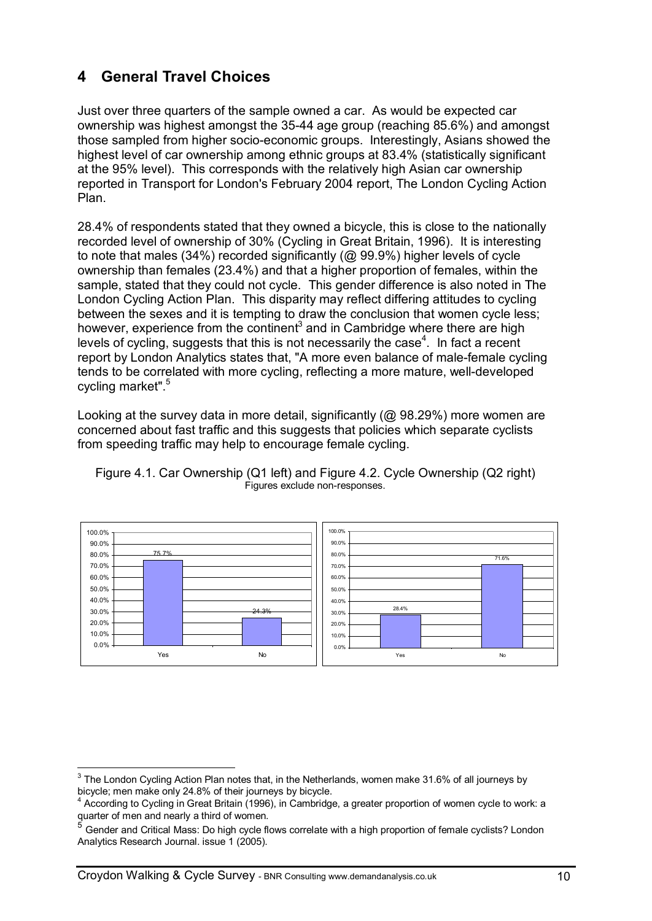## **4 General Travel Choices**

Just over three quarters of the sample owned a car. As would be expected car ownership was highest amongst the 35-44 age group (reaching 85.6%) and amongst those sampled from higher socio-economic groups. Interestingly, Asians showed the highest level of car ownership among ethnic groups at 83.4% (statistically significant at the 95% level). This corresponds with the relatively high Asian car ownership reported in Transport for London's February 2004 report, The London Cycling Action Plan.

28.4% of respondents stated that they owned a bicycle, this is close to the nationally recorded level of ownership of 30% (Cycling in Great Britain, 1996). It is interesting to note that males (34%) recorded significantly (@ 99.9%) higher levels of cycle ownership than females (23.4%) and that a higher proportion of females, within the sample, stated that they could not cycle. This gender difference is also noted in The London Cycling Action Plan. This disparity may reflect differing attitudes to cycling between the sexes and it is tempting to draw the conclusion that women cycle less; however, experience from the continent<sup>3</sup> and in Cambridge where there are high levels of cycling, suggests that this is not necessarily the case $4$ . In fact a recent report by London Analytics states that, "A more even balance of male-female cycling tends to be correlated with more cycling, reflecting a more mature, well-developed cycling market".<sup>5</sup>

Looking at the survey data in more detail, significantly (@ 98.29%) more women are concerned about fast traffic and this suggests that policies which separate cyclists from speeding traffic may help to encourage female cycling.





 3 The London Cycling Action Plan notes that, in the Netherlands, women make 31.6% of all journeys by bicycle; men make only 24.8% of their journeys by bicycle.

<sup>&</sup>lt;sup>4</sup> According to Cycling in Great Britain (1996), in Cambridge, a greater proportion of women cycle to work: a quarter of men and nearly a third of women.<br><sup>5</sup> Cander and Critical Mass: De high avale fl

Gender and Critical Mass: Do high cycle flows correlate with a high proportion of female cyclists? London Analytics Research Journal. issue 1 (2005).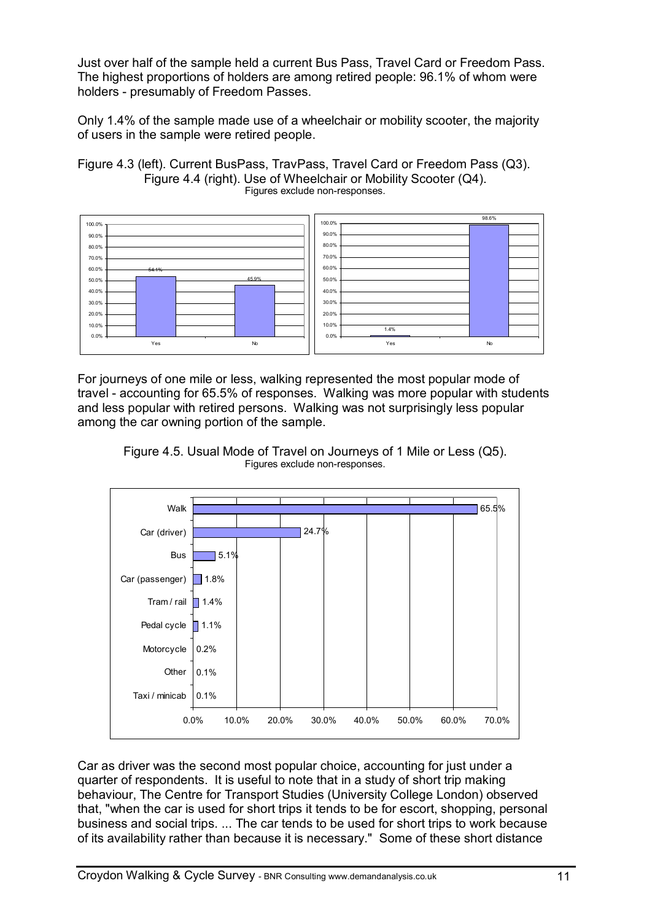Just over half of the sample held a current Bus Pass, Travel Card or Freedom Pass. The highest proportions of holders are among retired people: 96.1% of whom were holders - presumably of Freedom Passes.

Only 1.4% of the sample made use of a wheelchair or mobility scooter, the majority of users in the sample were retired people.

Figure 4.3 (left). Current BusPass, TravPass, Travel Card or Freedom Pass (Q3). Figure 4.4 (right). Use of Wheelchair or Mobility Scooter (Q4). Figures exclude non-responses.



For journeys of one mile or less, walking represented the most popular mode of travel - accounting for 65.5% of responses. Walking was more popular with students and less popular with retired persons. Walking was not surprisingly less popular among the car owning portion of the sample.



Figure 4.5. Usual Mode of Travel on Journeys of 1 Mile or Less (Q5). Figures exclude non-responses.

Car as driver was the second most popular choice, accounting for just under a quarter of respondents. It is useful to note that in a study of short trip making behaviour, The Centre for Transport Studies (University College London) observed that, "when the car is used for short trips it tends to be for escort, shopping, personal business and social trips. ... The car tends to be used for short trips to work because of its availability rather than because it is necessary." Some of these short distance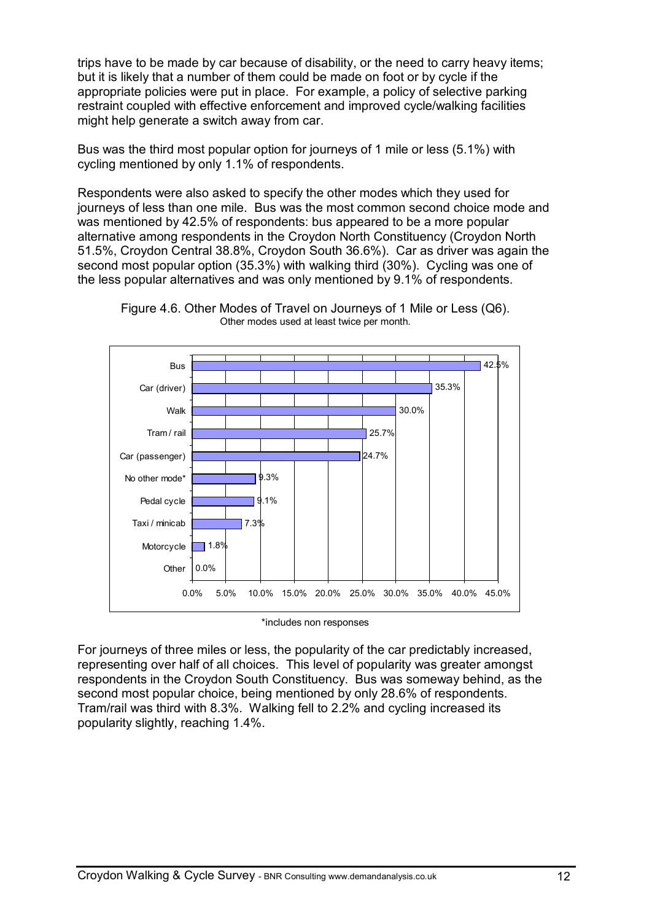trips have to be made by car because of disability, or the need to carry heavy items; but it is likely that a number of them could be made on foot or by cycle if the appropriate policies were put in place. For example, a policy of selective parking restraint coupled with effective enforcement and improved cycle/walking facilities might help generate a switch away from car.

Bus was the third most popular option for journeys of 1 mile or less (5.1%) with cycling mentioned by only 1.1% of respondents.

Respondents were also asked to specify the other modes which they used for journeys of less than one mile. Bus was the most common second choice mode and was mentioned by 42.5% of respondents: bus appeared to be a more popular alternative among respondents in the Croydon North Constituency (Croydon North 51.5%, Croydon Central 38.8%, Croydon South 36.6%). Car as driver was again the second most popular option (35.3%) with walking third (30%). Cycling was one of the less popular alternatives and was only mentioned by 9.1% of respondents.





\*includes non responses

For journeys of three miles or less, the popularity of the car predictably increased, representing over half of all choices. This level of popularity was greater amongst respondents in the Croydon South Constituency. Bus was someway behind, as the second most popular choice, being mentioned by only 28.6% of respondents. Tram/rail was third with 8.3%. Walking fell to 2.2% and cycling increased its popularity slightly, reaching 1.4%.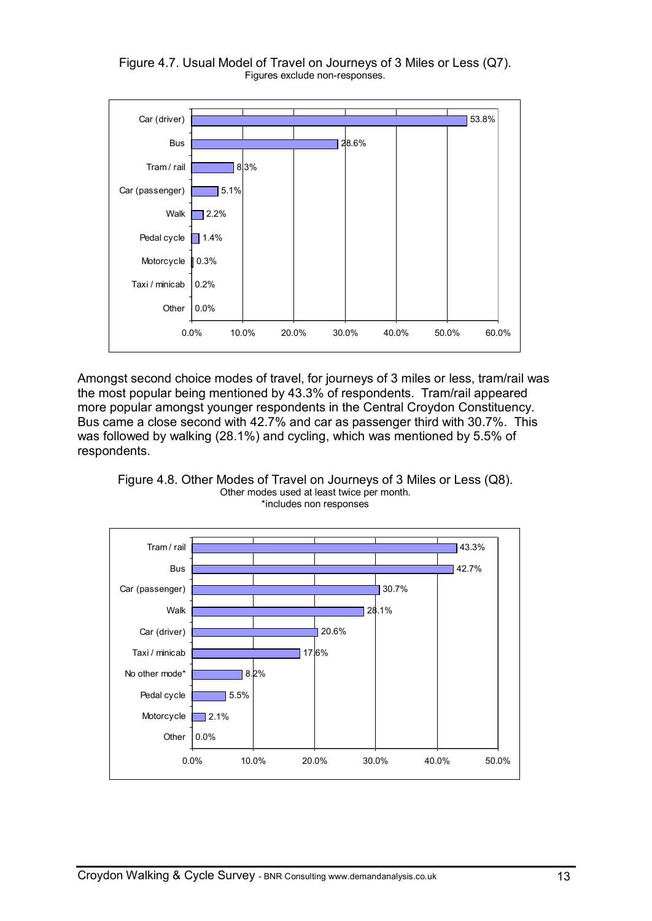

Figure 4.7. Usual Model of Travel on Journeys of 3 Miles or Less (Q7). Figures exclude non-responses.

Amongst second choice modes of travel, for journeys of 3 miles or less, tram/rail was the most popular being mentioned by 43.3% of respondents. Tram/rail appeared more popular amongst younger respondents in the Central Croydon Constituency. Bus came a close second with 42.7% and car as passenger third with 30.7%. This was followed by walking (28.1%) and cycling, which was mentioned by 5.5% of respondents.





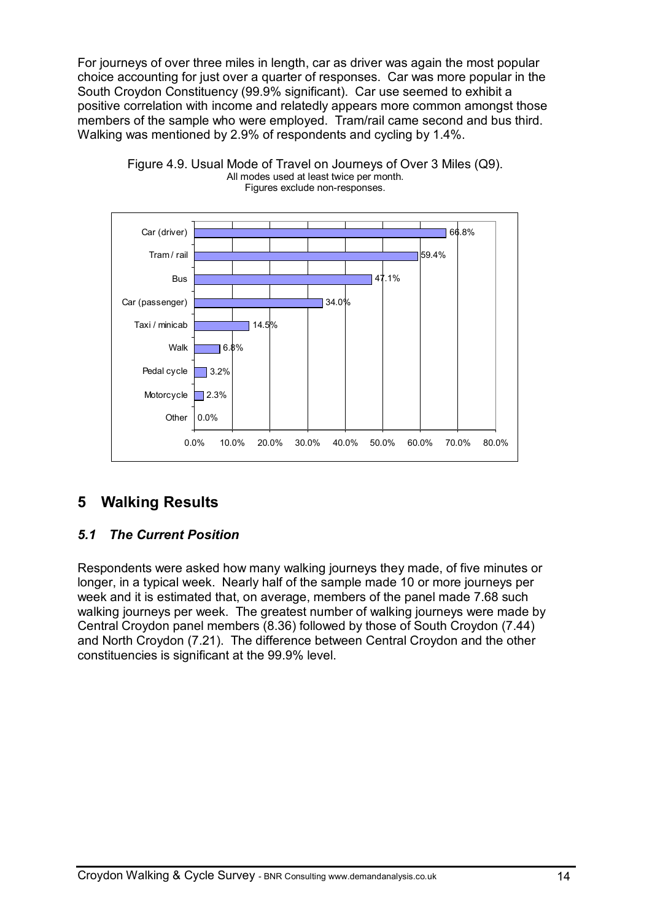For journeys of over three miles in length, car as driver was again the most popular choice accounting for just over a quarter of responses. Car was more popular in the South Croydon Constituency (99.9% significant). Car use seemed to exhibit a positive correlation with income and relatedly appears more common amongst those members of the sample who were employed. Tram/rail came second and bus third. Walking was mentioned by 2.9% of respondents and cycling by 1.4%.





### **5 Walking Results**

### *5.1 The Current Position*

Respondents were asked how many walking journeys they made, of five minutes or longer, in a typical week. Nearly half of the sample made 10 or more journeys per week and it is estimated that, on average, members of the panel made 7.68 such walking journeys per week. The greatest number of walking journeys were made by Central Croydon panel members (8.36) followed by those of South Croydon (7.44) and North Croydon (7.21). The difference between Central Croydon and the other constituencies is significant at the 99.9% level.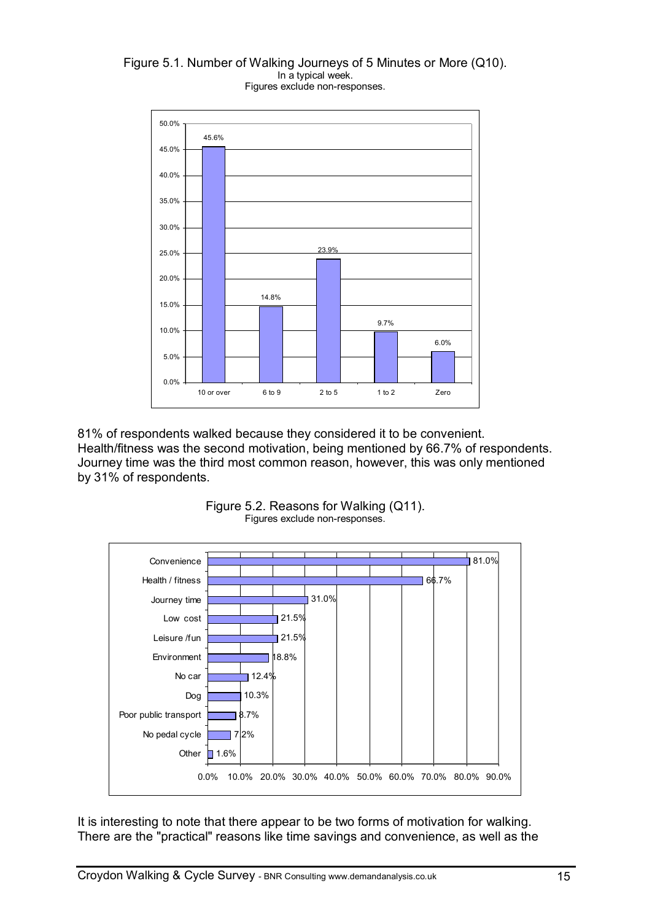#### Figure 5.1. Number of Walking Journeys of 5 Minutes or More (Q10). In a typical week. Figures exclude non-responses.



81% of respondents walked because they considered it to be convenient. Health/fitness was the second motivation, being mentioned by 66.7% of respondents. Journey time was the third most common reason, however, this was only mentioned by 31% of respondents.



Figure 5.2. Reasons for Walking (Q11). Figures exclude non-responses.

It is interesting to note that there appear to be two forms of motivation for walking. There are the "practical" reasons like time savings and convenience, as well as the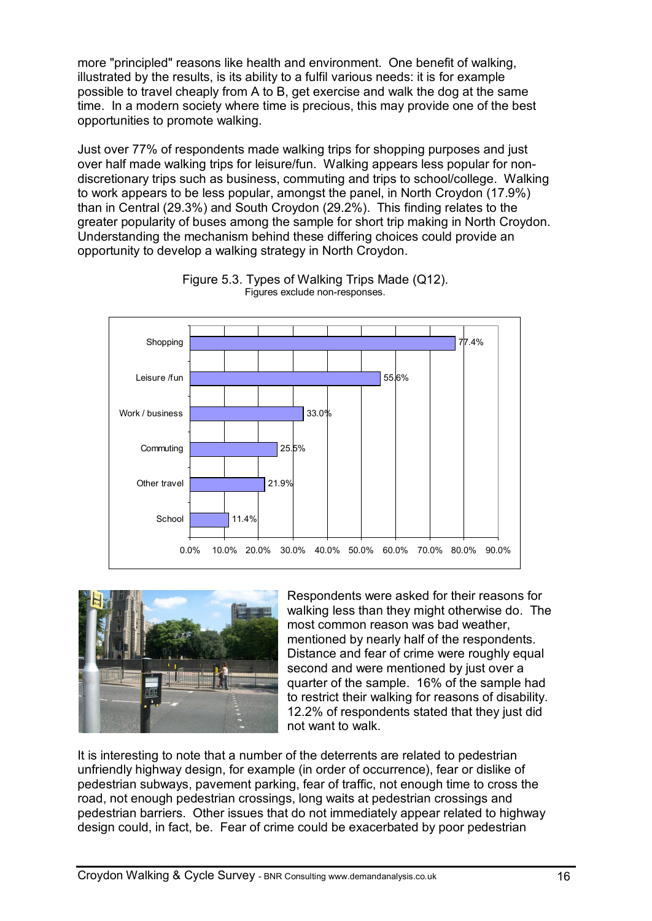more "principled" reasons like health and environment. One benefit of walking, illustrated by the results, is its ability to a fulfil various needs: it is for example possible to travel cheaply from A to B, get exercise and walk the dog at the same time. In a modern society where time is precious, this may provide one of the best opportunities to promote walking.

Just over 77% of respondents made walking trips for shopping purposes and just over half made walking trips for leisure/fun. Walking appears less popular for nondiscretionary trips such as business, commuting and trips to school/college. Walking to work appears to be less popular, amongst the panel, in North Croydon (17.9%) than in Central (29.3%) and South Croydon (29.2%). This finding relates to the greater popularity of buses among the sample for short trip making in North Croydon. Understanding the mechanism behind these differing choices could provide an opportunity to develop a walking strategy in North Croydon.







Respondents were asked for their reasons for walking less than they might otherwise do. The most common reason was bad weather, mentioned by nearly half of the respondents. Distance and fear of crime were roughly equal second and were mentioned by just over a quarter of the sample. 16% of the sample had to restrict their walking for reasons of disability. 12.2% of respondents stated that they just did not want to walk.

It is interesting to note that a number of the deterrents are related to pedestrian unfriendly highway design, for example (in order of occurrence), fear or dislike of pedestrian subways, pavement parking, fear of traffic, not enough time to cross the road, not enough pedestrian crossings, long waits at pedestrian crossings and pedestrian barriers. Other issues that do not immediately appear related to highway design could, in fact, be. Fear of crime could be exacerbated by poor pedestrian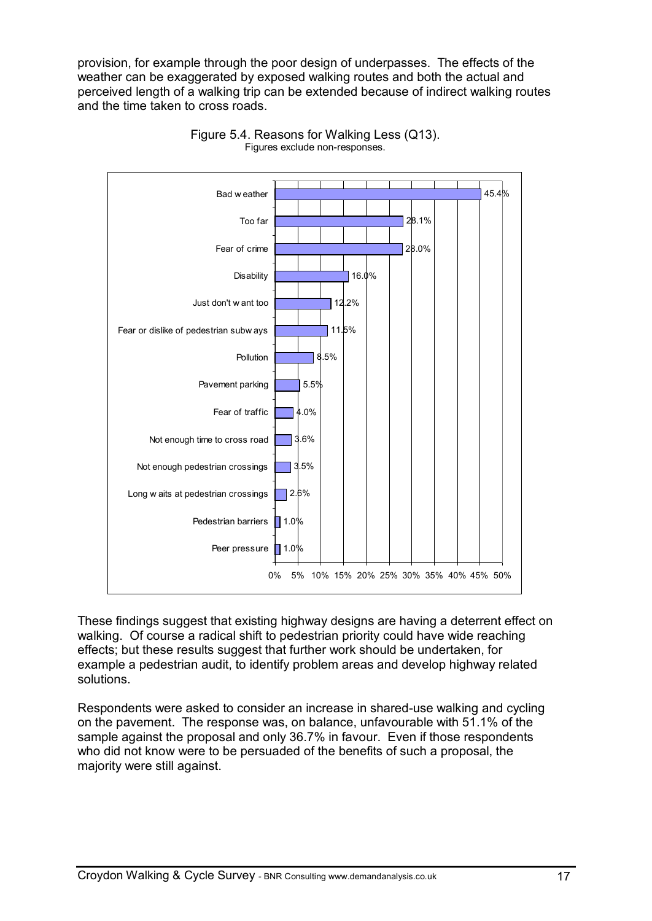provision, for example through the poor design of underpasses. The effects of the weather can be exaggerated by exposed walking routes and both the actual and perceived length of a walking trip can be extended because of indirect walking routes and the time taken to cross roads.





These findings suggest that existing highway designs are having a deterrent effect on walking. Of course a radical shift to pedestrian priority could have wide reaching effects; but these results suggest that further work should be undertaken, for example a pedestrian audit, to identify problem areas and develop highway related solutions.

Respondents were asked to consider an increase in shared-use walking and cycling on the pavement. The response was, on balance, unfavourable with 51.1% of the sample against the proposal and only 36.7% in favour. Even if those respondents who did not know were to be persuaded of the benefits of such a proposal, the majority were still against.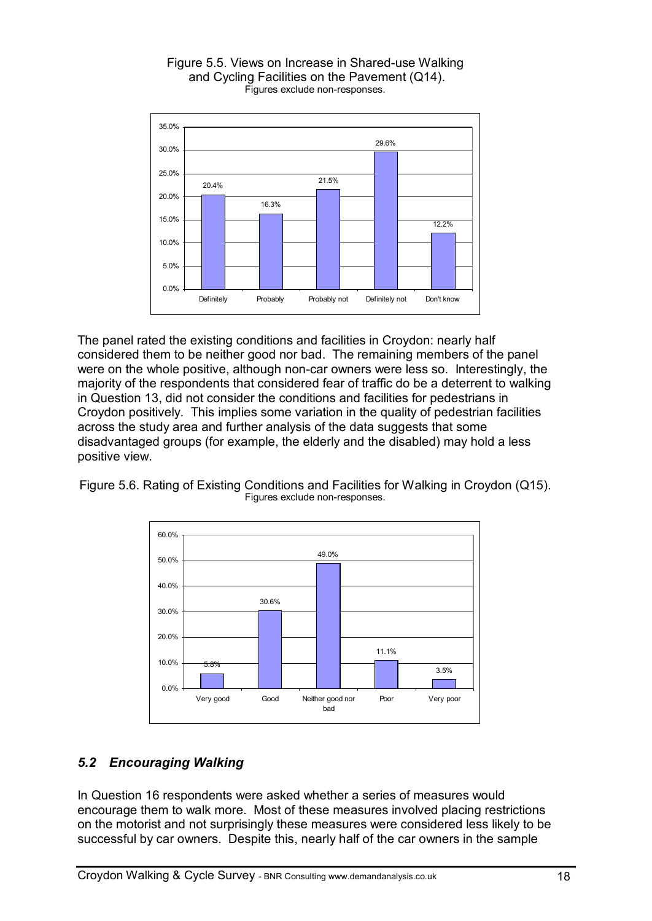

#### Figure 5.5. Views on Increase in Shared-use Walking and Cycling Facilities on the Pavement (Q14). Figures exclude non-responses.

The panel rated the existing conditions and facilities in Croydon: nearly half considered them to be neither good nor bad. The remaining members of the panel were on the whole positive, although non-car owners were less so. Interestingly, the majority of the respondents that considered fear of traffic do be a deterrent to walking in Question 13, did not consider the conditions and facilities for pedestrians in Croydon positively. This implies some variation in the quality of pedestrian facilities across the study area and further analysis of the data suggests that some disadvantaged groups (for example, the elderly and the disabled) may hold a less positive view.

Figure 5.6. Rating of Existing Conditions and Facilities for Walking in Croydon (Q15). Figures exclude non-responses.



### *5.2 Encouraging Walking*

In Question 16 respondents were asked whether a series of measures would encourage them to walk more. Most of these measures involved placing restrictions on the motorist and not surprisingly these measures were considered less likely to be successful by car owners. Despite this, nearly half of the car owners in the sample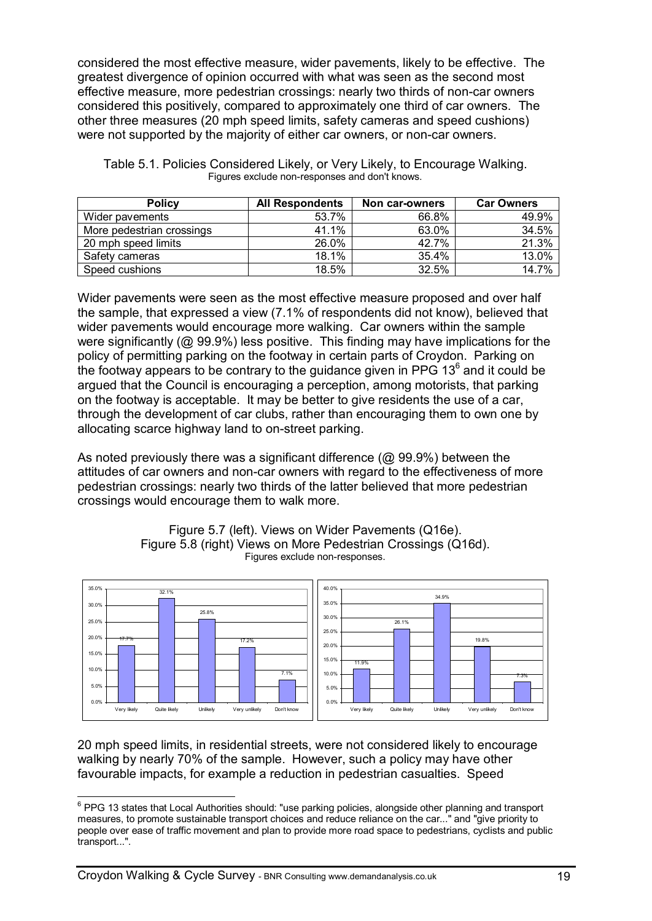considered the most effective measure, wider pavements, likely to be effective. The greatest divergence of opinion occurred with what was seen as the second most effective measure, more pedestrian crossings: nearly two thirds of non-car owners considered this positively, compared to approximately one third of car owners. The other three measures (20 mph speed limits, safety cameras and speed cushions) were not supported by the majority of either car owners, or non-car owners.

| <b>Policy</b>             | <b>All Respondents</b> | Non car-owners | <b>Car Owners</b> |
|---------------------------|------------------------|----------------|-------------------|
| Wider pavements           | 53.7%                  | 66.8%          | 49.9%             |
| More pedestrian crossings | 41.1%                  | 63.0%          | 34.5%             |
| 20 mph speed limits       | 26.0%                  | 42.7%          | 21.3%             |
| Safety cameras            | 18.1%                  | 35.4%          | 13.0%             |
| Speed cushions            | 18.5%                  | 32.5%          | 14.7%             |

Table 5.1. Policies Considered Likely, or Very Likely, to Encourage Walking. Figures exclude non-responses and don't knows.

Wider pavements were seen as the most effective measure proposed and over half the sample, that expressed a view (7.1% of respondents did not know), believed that wider pavements would encourage more walking. Car owners within the sample were significantly (@ 99.9%) less positive. This finding may have implications for the policy of permitting parking on the footway in certain parts of Croydon. Parking on the footway appears to be contrary to the guidance given in PPG 13 $^6$  and it could be argued that the Council is encouraging a perception, among motorists, that parking on the footway is acceptable. It may be better to give residents the use of a car, through the development of car clubs, rather than encouraging them to own one by allocating scarce highway land to on-street parking.

As noted previously there was a significant difference (@ 99.9%) between the attitudes of car owners and non-car owners with regard to the effectiveness of more pedestrian crossings: nearly two thirds of the latter believed that more pedestrian crossings would encourage them to walk more.



Figure 5.7 (left). Views on Wider Pavements (Q16e). Figure 5.8 (right) Views on More Pedestrian Crossings (Q16d). Figures exclude non-responses.

20 mph speed limits, in residential streets, were not considered likely to encourage walking by nearly 70% of the sample. However, such a policy may have other favourable impacts, for example a reduction in pedestrian casualties. Speed

 $\overline{\phantom{a}}$  $^6$  PPG 13 states that Local Authorities should: "use parking policies, alongside other planning and transport measures, to promote sustainable transport choices and reduce reliance on the car..." and "give priority to people over ease of traffic movement and plan to provide more road space to pedestrians, cyclists and public transport...".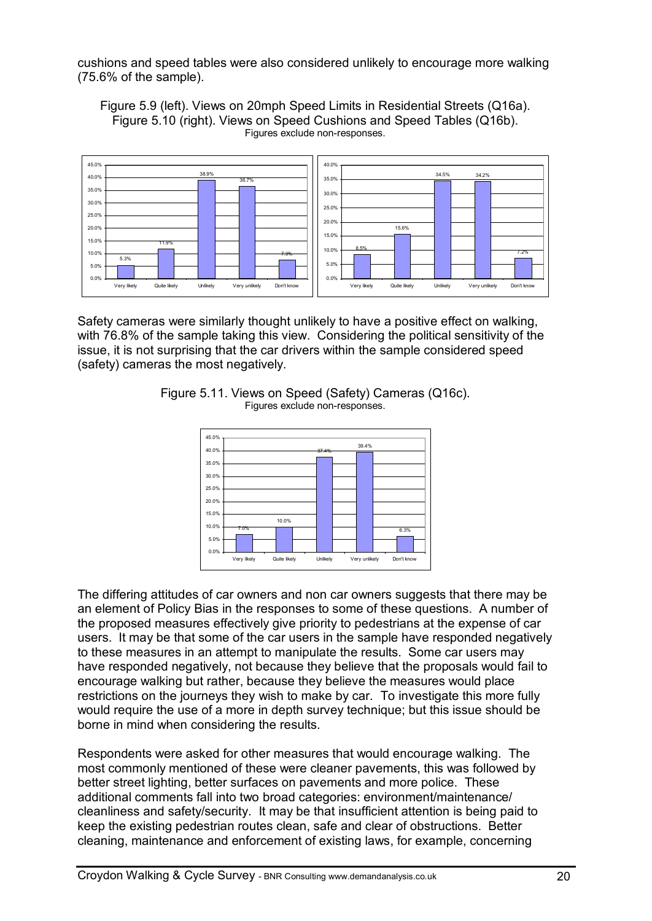cushions and speed tables were also considered unlikely to encourage more walking (75.6% of the sample).

Figure 5.9 (left). Views on 20mph Speed Limits in Residential Streets (Q16a). Figure 5.10 (right). Views on Speed Cushions and Speed Tables (Q16b). Figures exclude non-responses.



Safety cameras were similarly thought unlikely to have a positive effect on walking, with 76.8% of the sample taking this view. Considering the political sensitivity of the issue, it is not surprising that the car drivers within the sample considered speed (safety) cameras the most negatively.



Figure 5.11. Views on Speed (Safety) Cameras (Q16c). Figures exclude non-responses.

The differing attitudes of car owners and non car owners suggests that there may be an element of Policy Bias in the responses to some of these questions. A number of the proposed measures effectively give priority to pedestrians at the expense of car users. It may be that some of the car users in the sample have responded negatively to these measures in an attempt to manipulate the results. Some car users may have responded negatively, not because they believe that the proposals would fail to encourage walking but rather, because they believe the measures would place restrictions on the journeys they wish to make by car. To investigate this more fully would require the use of a more in depth survey technique; but this issue should be borne in mind when considering the results.

Respondents were asked for other measures that would encourage walking. The most commonly mentioned of these were cleaner pavements, this was followed by better street lighting, better surfaces on pavements and more police. These additional comments fall into two broad categories: environment/maintenance/ cleanliness and safety/security. It may be that insufficient attention is being paid to keep the existing pedestrian routes clean, safe and clear of obstructions. Better cleaning, maintenance and enforcement of existing laws, for example, concerning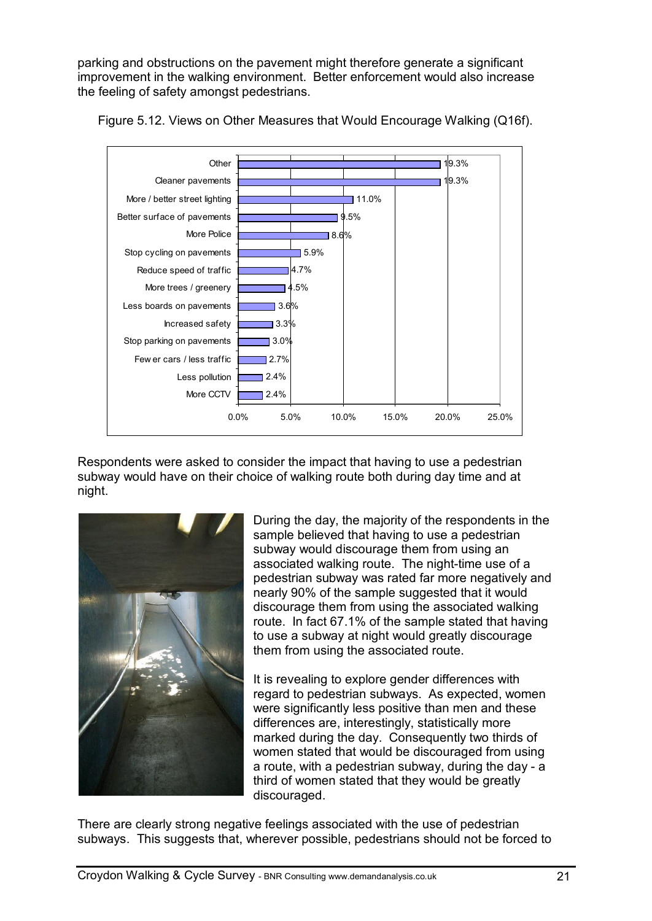parking and obstructions on the pavement might therefore generate a significant improvement in the walking environment. Better enforcement would also increase the feeling of safety amongst pedestrians.



Figure 5.12. Views on Other Measures that Would Encourage Walking (Q16f).

Respondents were asked to consider the impact that having to use a pedestrian subway would have on their choice of walking route both during day time and at night.



During the day, the majority of the respondents in the sample believed that having to use a pedestrian subway would discourage them from using an associated walking route. The night-time use of a pedestrian subway was rated far more negatively and nearly 90% of the sample suggested that it would discourage them from using the associated walking route. In fact 67.1% of the sample stated that having to use a subway at night would greatly discourage them from using the associated route.

It is revealing to explore gender differences with regard to pedestrian subways. As expected, women were significantly less positive than men and these differences are, interestingly, statistically more marked during the day. Consequently two thirds of women stated that would be discouraged from using a route, with a pedestrian subway, during the day - a third of women stated that they would be greatly discouraged.

There are clearly strong negative feelings associated with the use of pedestrian subways. This suggests that, wherever possible, pedestrians should not be forced to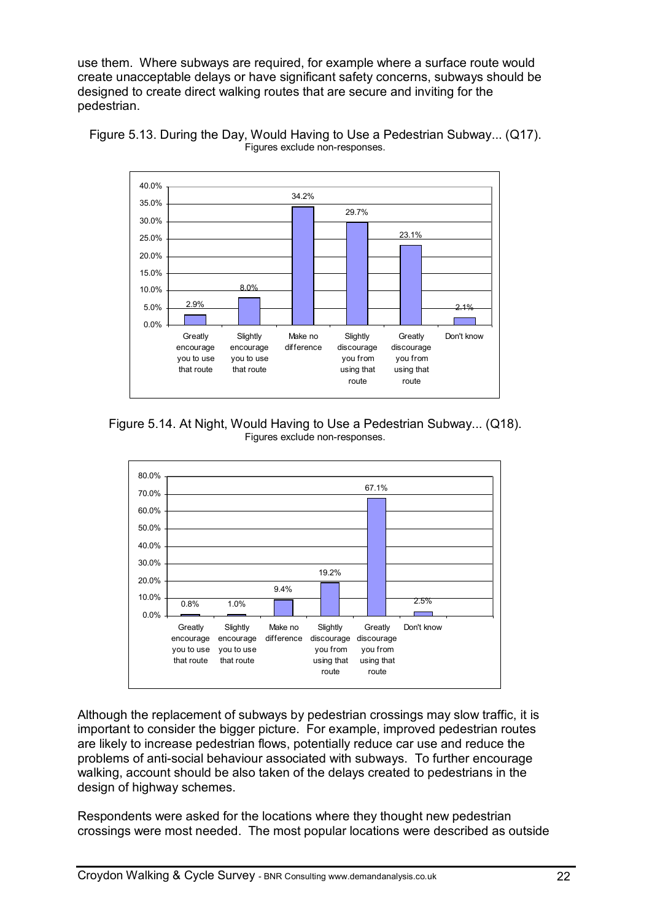use them. Where subways are required, for example where a surface route would create unacceptable delays or have significant safety concerns, subways should be designed to create direct walking routes that are secure and inviting for the pedestrian.





Figure 5.14. At Night, Would Having to Use a Pedestrian Subway... (Q18). Figures exclude non-responses.



Although the replacement of subways by pedestrian crossings may slow traffic, it is important to consider the bigger picture. For example, improved pedestrian routes are likely to increase pedestrian flows, potentially reduce car use and reduce the problems of anti-social behaviour associated with subways. To further encourage walking, account should be also taken of the delays created to pedestrians in the design of highway schemes.

Respondents were asked for the locations where they thought new pedestrian crossings were most needed. The most popular locations were described as outside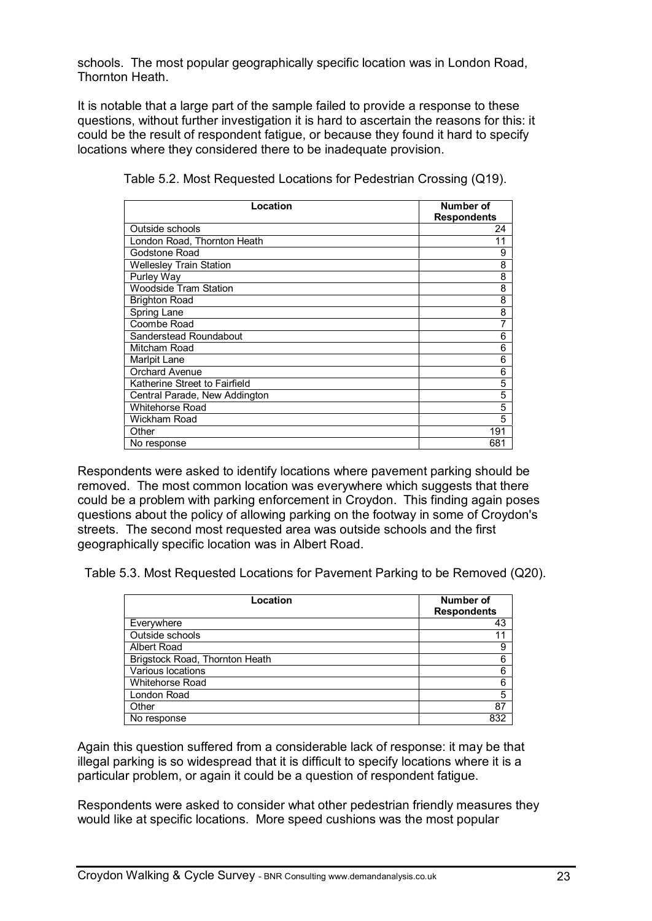schools. The most popular geographically specific location was in London Road, Thornton Heath.

It is notable that a large part of the sample failed to provide a response to these questions, without further investigation it is hard to ascertain the reasons for this: it could be the result of respondent fatigue, or because they found it hard to specify locations where they considered there to be inadequate provision.

| Location                       | Number of<br><b>Respondents</b> |
|--------------------------------|---------------------------------|
| Outside schools                | 24                              |
| London Road, Thornton Heath    | 11                              |
| Godstone Road                  | 9                               |
| <b>Wellesley Train Station</b> | 8                               |
| Purley Way                     | 8                               |
| <b>Woodside Tram Station</b>   | 8                               |
| <b>Brighton Road</b>           | 8                               |
| Spring Lane                    | 8                               |
| Coombe Road                    | 7                               |
| Sanderstead Roundabout         | 6                               |
| Mitcham Road                   | 6                               |
| Marlpit Lane                   | 6                               |
| <b>Orchard Avenue</b>          | 6                               |
| Katherine Street to Fairfield  | 5                               |
| Central Parade, New Addington  | 5                               |
| <b>Whitehorse Road</b>         | 5                               |
| Wickham Road                   | 5                               |
| Other                          | 191                             |
| No response                    | 681                             |

Table 5.2. Most Requested Locations for Pedestrian Crossing (Q19).

Respondents were asked to identify locations where pavement parking should be removed. The most common location was everywhere which suggests that there could be a problem with parking enforcement in Croydon. This finding again poses questions about the policy of allowing parking on the footway in some of Croydon's streets. The second most requested area was outside schools and the first geographically specific location was in Albert Road.

Table 5.3. Most Requested Locations for Pavement Parking to be Removed (Q20).

| Location                       | Number of          |
|--------------------------------|--------------------|
|                                | <b>Respondents</b> |
| Everywhere                     | 43                 |
| Outside schools                | 11                 |
| Albert Road                    | 9                  |
| Brigstock Road, Thornton Heath | 6                  |
| Various locations              | 6                  |
| <b>Whitehorse Road</b>         | 6                  |
| London Road                    | 5                  |
| Other                          | 87                 |
| No response                    | 832                |

Again this question suffered from a considerable lack of response: it may be that illegal parking is so widespread that it is difficult to specify locations where it is a particular problem, or again it could be a question of respondent fatigue.

Respondents were asked to consider what other pedestrian friendly measures they would like at specific locations. More speed cushions was the most popular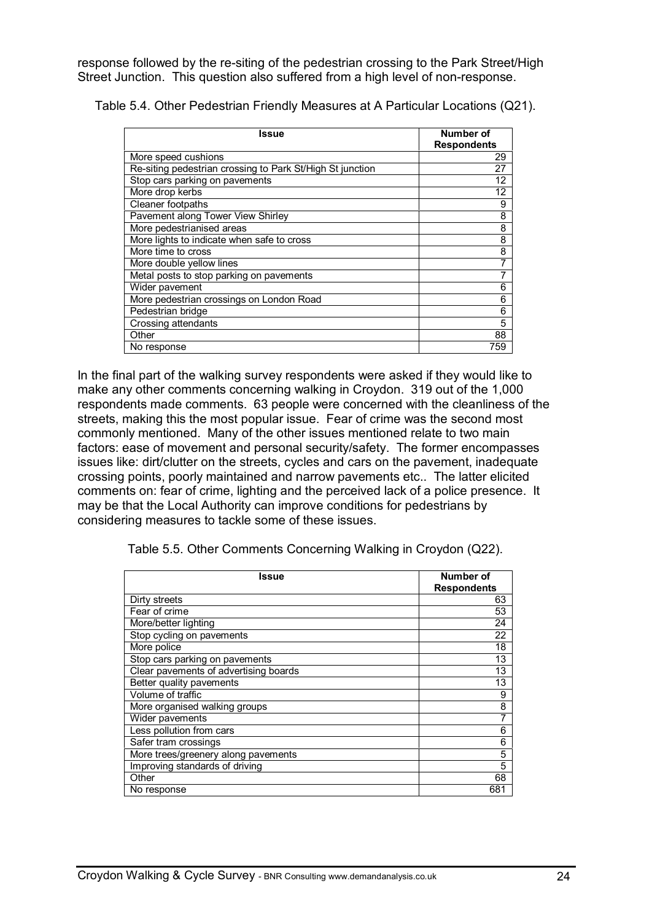response followed by the re-siting of the pedestrian crossing to the Park Street/High Street Junction. This question also suffered from a high level of non-response.

Table 5.4. Other Pedestrian Friendly Measures at A Particular Locations (Q21).

| Issue                                                     | Number of          |
|-----------------------------------------------------------|--------------------|
|                                                           | <b>Respondents</b> |
| More speed cushions                                       | 29                 |
| Re-siting pedestrian crossing to Park St/High St junction | 27                 |
| Stop cars parking on pavements                            | 12                 |
| More drop kerbs                                           | 12                 |
| Cleaner footpaths                                         | 9                  |
| Pavement along Tower View Shirley                         | 8                  |
| More pedestrianised areas                                 | 8                  |
| More lights to indicate when safe to cross                | 8                  |
| More time to cross                                        | 8                  |
| More double yellow lines                                  |                    |
| Metal posts to stop parking on pavements                  |                    |
| Wider pavement                                            | 6                  |
| More pedestrian crossings on London Road                  | 6                  |
| Pedestrian bridge                                         | 6                  |
| Crossing attendants                                       | 5                  |
| Other                                                     | 88                 |
| No response                                               | 759                |

In the final part of the walking survey respondents were asked if they would like to make any other comments concerning walking in Croydon. 319 out of the 1,000 respondents made comments. 63 people were concerned with the cleanliness of the streets, making this the most popular issue. Fear of crime was the second most commonly mentioned. Many of the other issues mentioned relate to two main factors: ease of movement and personal security/safety. The former encompasses issues like: dirt/clutter on the streets, cycles and cars on the pavement, inadequate crossing points, poorly maintained and narrow pavements etc.. The latter elicited comments on: fear of crime, lighting and the perceived lack of a police presence. It may be that the Local Authority can improve conditions for pedestrians by considering measures to tackle some of these issues.

Table 5.5. Other Comments Concerning Walking in Croydon (Q22).

| Issue                                 | Number of<br><b>Respondents</b> |
|---------------------------------------|---------------------------------|
| Dirty streets                         | 63                              |
| Fear of crime                         | 53                              |
| More/better lighting                  | 24                              |
| Stop cycling on pavements             | 22                              |
| More police                           | 18                              |
| Stop cars parking on pavements        | 13                              |
| Clear pavements of advertising boards | 13                              |
| Better quality pavements              | 13                              |
| Volume of traffic                     | 9                               |
| More organised walking groups         | 8                               |
| Wider pavements                       | 7                               |
| Less pollution from cars              | 6                               |
| Safer tram crossings                  | 6                               |
| More trees/greenery along pavements   | 5                               |
| Improving standards of driving        | 5                               |
| Other                                 | 68                              |
| No response                           | 681                             |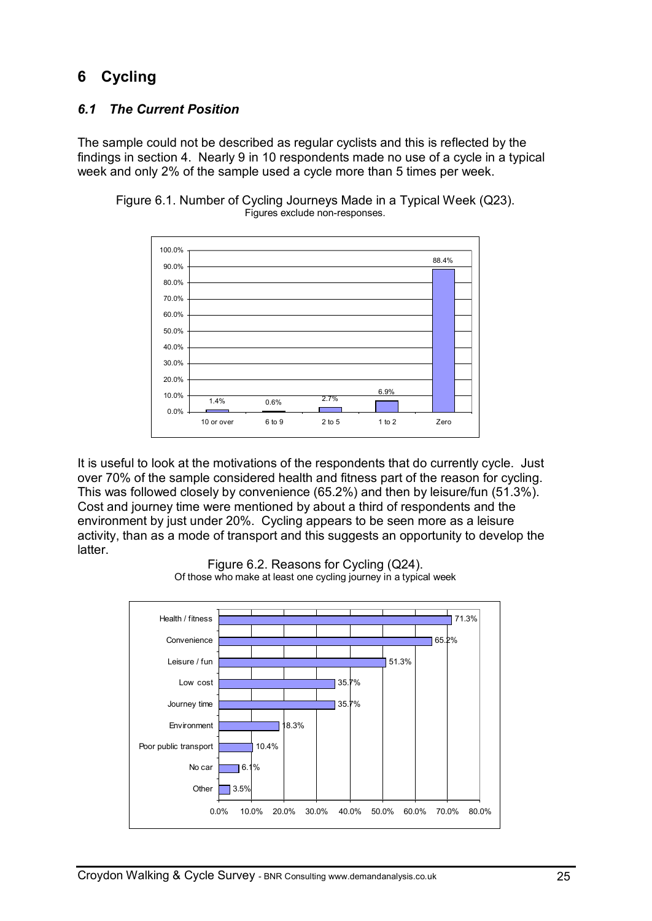# **6 Cycling**

### *6.1 The Current Position*

The sample could not be described as regular cyclists and this is reflected by the findings in section 4. Nearly 9 in 10 respondents made no use of a cycle in a typical week and only 2% of the sample used a cycle more than 5 times per week.



Figure 6.1. Number of Cycling Journeys Made in a Typical Week (Q23). Figures exclude non-responses.

It is useful to look at the motivations of the respondents that do currently cycle. Just over 70% of the sample considered health and fitness part of the reason for cycling. This was followed closely by convenience (65.2%) and then by leisure/fun (51.3%). Cost and journey time were mentioned by about a third of respondents and the environment by just under 20%. Cycling appears to be seen more as a leisure activity, than as a mode of transport and this suggests an opportunity to develop the latter.



Figure 6.2. Reasons for Cycling (Q24). Of those who make at least one cycling journey in a typical week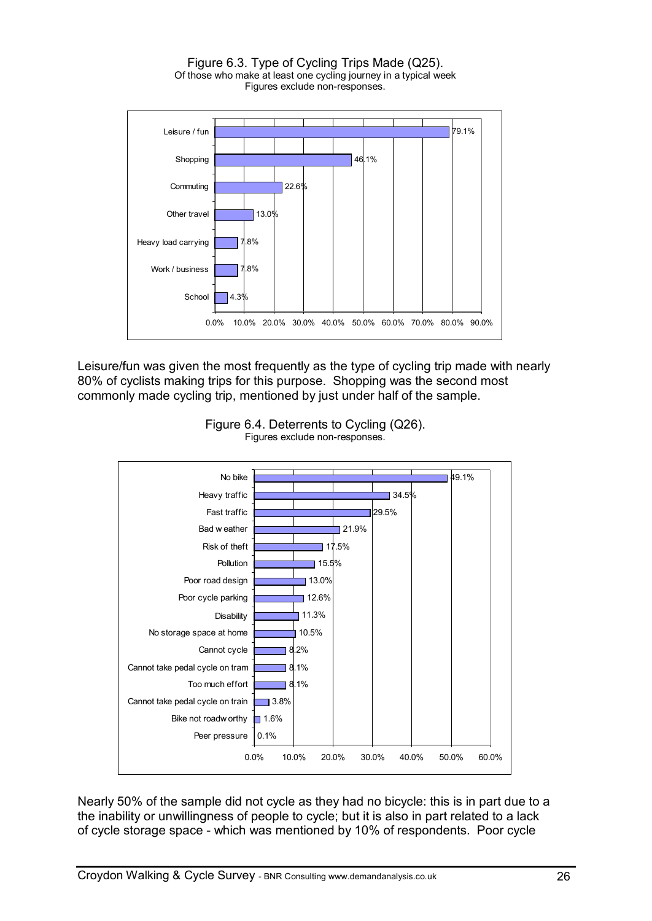Figure 6.3. Type of Cycling Trips Made (Q25). Of those who make at least one cycling journey in a typical week Figures exclude non-responses.



Leisure/fun was given the most frequently as the type of cycling trip made with nearly 80% of cyclists making trips for this purpose. Shopping was the second most commonly made cycling trip, mentioned by just under half of the sample.





Nearly 50% of the sample did not cycle as they had no bicycle: this is in part due to a the inability or unwillingness of people to cycle; but it is also in part related to a lack of cycle storage space - which was mentioned by 10% of respondents. Poor cycle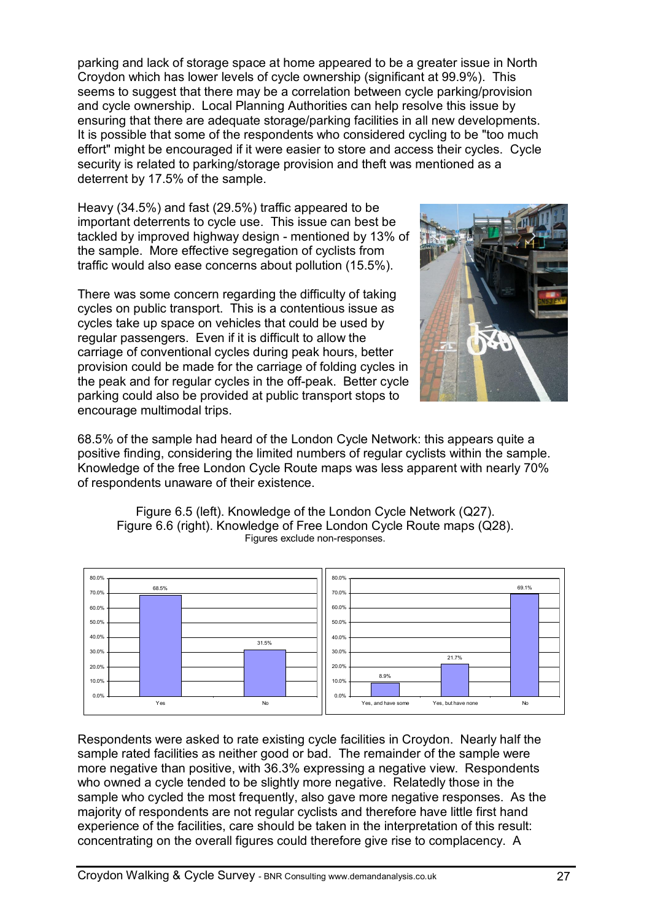parking and lack of storage space at home appeared to be a greater issue in North Croydon which has lower levels of cycle ownership (significant at 99.9%). This seems to suggest that there may be a correlation between cycle parking/provision and cycle ownership. Local Planning Authorities can help resolve this issue by ensuring that there are adequate storage/parking facilities in all new developments. It is possible that some of the respondents who considered cycling to be "too much effort" might be encouraged if it were easier to store and access their cycles. Cycle security is related to parking/storage provision and theft was mentioned as a deterrent by 17.5% of the sample.

Heavy (34.5%) and fast (29.5%) traffic appeared to be important deterrents to cycle use. This issue can best be tackled by improved highway design - mentioned by 13% of the sample. More effective segregation of cyclists from traffic would also ease concerns about pollution (15.5%).

There was some concern regarding the difficulty of taking cycles on public transport. This is a contentious issue as cycles take up space on vehicles that could be used by regular passengers. Even if it is difficult to allow the carriage of conventional cycles during peak hours, better provision could be made for the carriage of folding cycles in the peak and for regular cycles in the off-peak. Better cycle parking could also be provided at public transport stops to encourage multimodal trips.



68.5% of the sample had heard of the London Cycle Network: this appears quite a positive finding, considering the limited numbers of regular cyclists within the sample. Knowledge of the free London Cycle Route maps was less apparent with nearly 70% of respondents unaware of their existence.



Figure 6.5 (left). Knowledge of the London Cycle Network (Q27). Figure 6.6 (right). Knowledge of Free London Cycle Route maps (Q28). Figures exclude non-responses.

Respondents were asked to rate existing cycle facilities in Croydon. Nearly half the sample rated facilities as neither good or bad. The remainder of the sample were more negative than positive, with 36.3% expressing a negative view. Respondents who owned a cycle tended to be slightly more negative. Relatedly those in the sample who cycled the most frequently, also gave more negative responses. As the majority of respondents are not regular cyclists and therefore have little first hand experience of the facilities, care should be taken in the interpretation of this result: concentrating on the overall figures could therefore give rise to complacency. A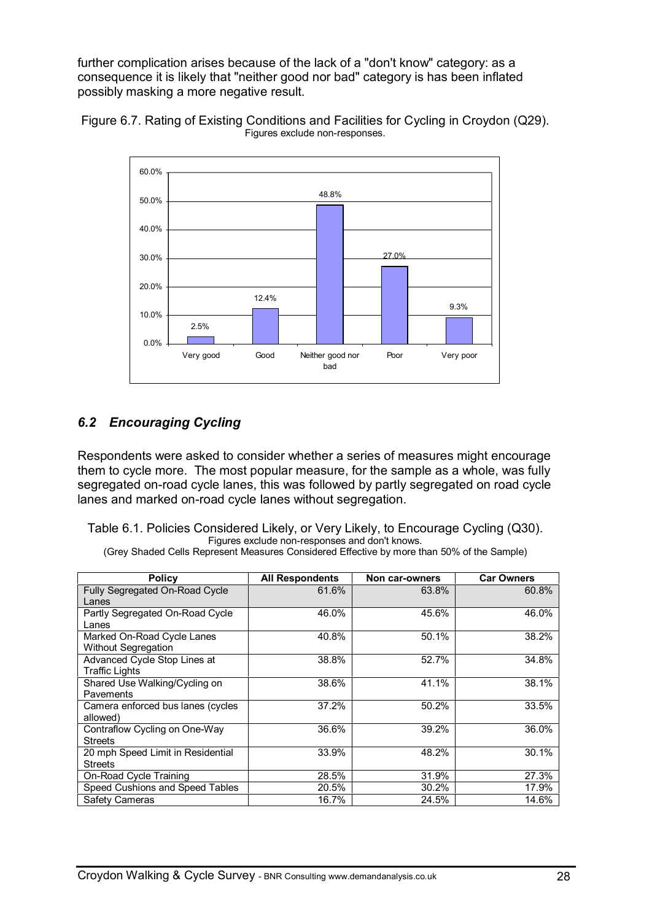further complication arises because of the lack of a "don't know" category: as a consequence it is likely that "neither good nor bad" category is has been inflated possibly masking a more negative result.





### *6.2 Encouraging Cycling*

Respondents were asked to consider whether a series of measures might encourage them to cycle more. The most popular measure, for the sample as a whole, was fully segregated on-road cycle lanes, this was followed by partly segregated on road cycle lanes and marked on-road cycle lanes without segregation.

Table 6.1. Policies Considered Likely, or Very Likely, to Encourage Cycling (Q30). Figures exclude non-responses and don't knows.

(Grey Shaded Cells Represent Measures Considered Effective by more than 50% of the Sample)

| <b>Policy</b>                     | <b>All Respondents</b> | Non car-owners | <b>Car Owners</b> |
|-----------------------------------|------------------------|----------------|-------------------|
| Fully Segregated On-Road Cycle    | 61.6%                  | 63.8%          | 60.8%             |
| Lanes                             |                        |                |                   |
| Partly Segregated On-Road Cycle   | 46.0%                  | 45.6%          | 46.0%             |
| Lanes                             |                        |                |                   |
| Marked On-Road Cycle Lanes        | 40.8%                  | 50.1%          | 38.2%             |
| <b>Without Segregation</b>        |                        |                |                   |
| Advanced Cycle Stop Lines at      | 38.8%                  | 52.7%          | 34.8%             |
| <b>Traffic Lights</b>             |                        |                |                   |
| Shared Use Walking/Cycling on     | 38.6%                  | 41.1%          | 38.1%             |
| Pavements                         |                        |                |                   |
| Camera enforced bus lanes (cycles | 37.2%                  | 50.2%          | 33.5%             |
| allowed)                          |                        |                |                   |
| Contraflow Cycling on One-Way     | 36.6%                  | 39.2%          | 36.0%             |
| <b>Streets</b>                    |                        |                |                   |
| 20 mph Speed Limit in Residential | 33.9%                  | 48.2%          | 30.1%             |
| <b>Streets</b>                    |                        |                |                   |
| On-Road Cycle Training            | 28.5%                  | 31.9%          | 27.3%             |
| Speed Cushions and Speed Tables   | 20.5%                  | 30.2%          | 17.9%             |
| Safety Cameras                    | 16.7%                  | 24.5%          | 14.6%             |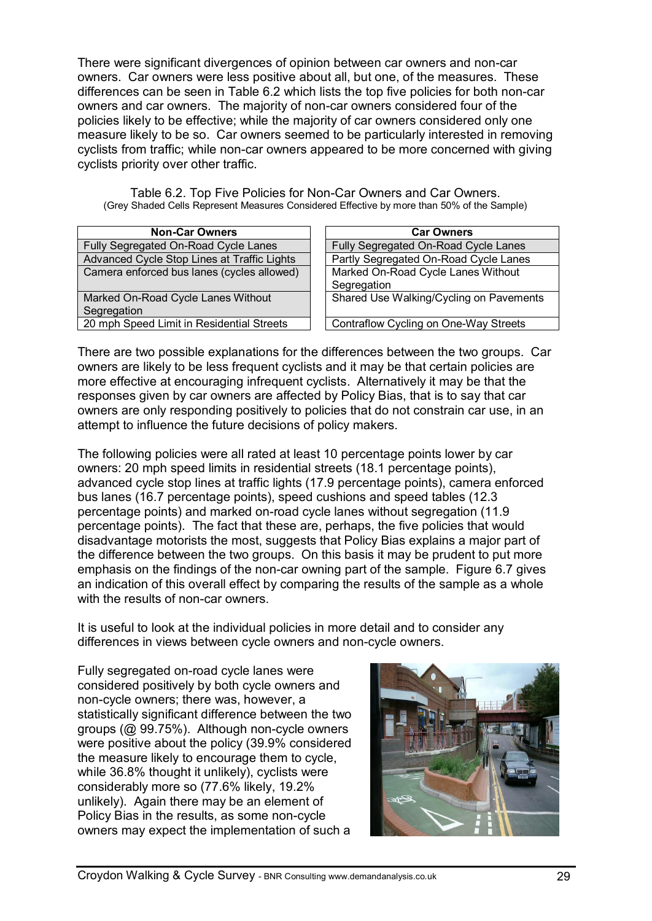There were significant divergences of opinion between car owners and non-car owners. Car owners were less positive about all, but one, of the measures. These differences can be seen in Table 6.2 which lists the top five policies for both non-car owners and car owners. The majority of non-car owners considered four of the policies likely to be effective; while the majority of car owners considered only one measure likely to be so. Car owners seemed to be particularly interested in removing cyclists from traffic; while non-car owners appeared to be more concerned with giving cyclists priority over other traffic.

Table 6.2. Top Five Policies for Non-Car Owners and Car Owners. (Grey Shaded Cells Represent Measures Considered Effective by more than 50% of the Sample)

| <b>Non-Car Owners</b>                       | <b>Car Owners</b>                       |
|---------------------------------------------|-----------------------------------------|
| Fully Segregated On-Road Cycle Lanes        | Fully Segregated On-Road Cycle Lanes    |
| Advanced Cycle Stop Lines at Traffic Lights | Partly Segregated On-Road Cycle Lanes   |
| Camera enforced bus lanes (cycles allowed)  | Marked On-Road Cycle Lanes Without      |
|                                             | Segregation                             |
| Marked On-Road Cycle Lanes Without          | Shared Use Walking/Cycling on Pavements |
| Segregation                                 |                                         |
| 20 mph Speed Limit in Residential Streets   | Contraflow Cycling on One-Way Streets   |

There are two possible explanations for the differences between the two groups. Car owners are likely to be less frequent cyclists and it may be that certain policies are more effective at encouraging infrequent cyclists. Alternatively it may be that the responses given by car owners are affected by Policy Bias, that is to say that car owners are only responding positively to policies that do not constrain car use, in an attempt to influence the future decisions of policy makers.

The following policies were all rated at least 10 percentage points lower by car owners: 20 mph speed limits in residential streets (18.1 percentage points), advanced cycle stop lines at traffic lights (17.9 percentage points), camera enforced bus lanes (16.7 percentage points), speed cushions and speed tables (12.3 percentage points) and marked on-road cycle lanes without segregation (11.9 percentage points). The fact that these are, perhaps, the five policies that would disadvantage motorists the most, suggests that Policy Bias explains a major part of the difference between the two groups. On this basis it may be prudent to put more emphasis on the findings of the non-car owning part of the sample. Figure 6.7 gives an indication of this overall effect by comparing the results of the sample as a whole with the results of non-car owners.

It is useful to look at the individual policies in more detail and to consider any differences in views between cycle owners and non-cycle owners.

Fully segregated on-road cycle lanes were considered positively by both cycle owners and non-cycle owners; there was, however, a statistically significant difference between the two groups (@ 99.75%). Although non-cycle owners were positive about the policy (39.9% considered the measure likely to encourage them to cycle, while 36.8% thought it unlikely), cyclists were considerably more so (77.6% likely, 19.2% unlikely). Again there may be an element of Policy Bias in the results, as some non-cycle owners may expect the implementation of such a

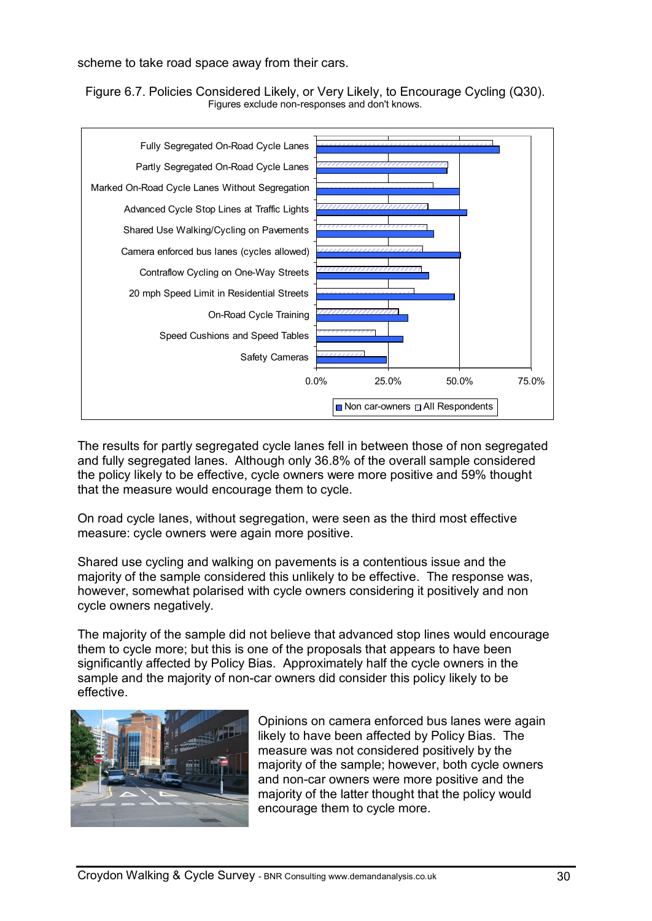scheme to take road space away from their cars.

Figure 6.7. Policies Considered Likely, or Very Likely, to Encourage Cycling (Q30). Figures exclude non-responses and don't knows.



The results for partly segregated cycle lanes fell in between those of non segregated and fully segregated lanes. Although only 36.8% of the overall sample considered the policy likely to be effective, cycle owners were more positive and 59% thought that the measure would encourage them to cycle.

On road cycle lanes, without segregation, were seen as the third most effective measure: cycle owners were again more positive.

Shared use cycling and walking on pavements is a contentious issue and the majority of the sample considered this unlikely to be effective. The response was, however, somewhat polarised with cycle owners considering it positively and non cycle owners negatively.

The majority of the sample did not believe that advanced stop lines would encourage them to cycle more; but this is one of the proposals that appears to have been significantly affected by Policy Bias. Approximately half the cycle owners in the sample and the majority of non-car owners did consider this policy likely to be effective.



Opinions on camera enforced bus lanes were again likely to have been affected by Policy Bias. The measure was not considered positively by the majority of the sample; however, both cycle owners and non-car owners were more positive and the majority of the latter thought that the policy would encourage them to cycle more.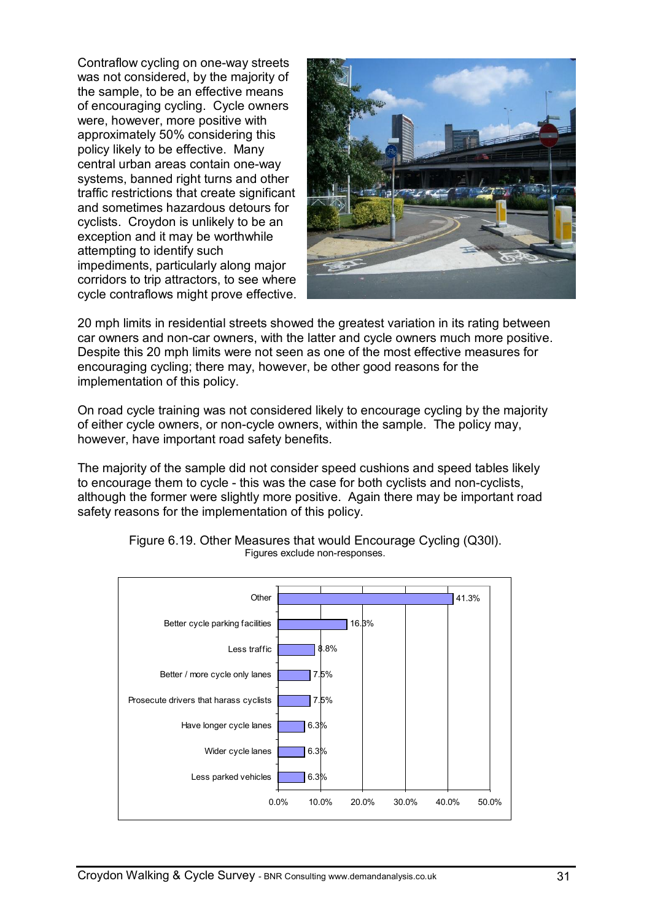Contraflow cycling on one-way streets was not considered, by the majority of the sample, to be an effective means of encouraging cycling. Cycle owners were, however, more positive with approximately 50% considering this policy likely to be effective. Many central urban areas contain one-way systems, banned right turns and other traffic restrictions that create significant and sometimes hazardous detours for cyclists. Croydon is unlikely to be an exception and it may be worthwhile attempting to identify such impediments, particularly along major corridors to trip attractors, to see where cycle contraflows might prove effective.



20 mph limits in residential streets showed the greatest variation in its rating between car owners and non-car owners, with the latter and cycle owners much more positive. Despite this 20 mph limits were not seen as one of the most effective measures for encouraging cycling; there may, however, be other good reasons for the implementation of this policy.

On road cycle training was not considered likely to encourage cycling by the majority of either cycle owners, or non-cycle owners, within the sample. The policy may, however, have important road safety benefits.

The majority of the sample did not consider speed cushions and speed tables likely to encourage them to cycle - this was the case for both cyclists and non-cyclists, although the former were slightly more positive. Again there may be important road safety reasons for the implementation of this policy.



Figure 6.19. Other Measures that would Encourage Cycling (Q30l). Figures exclude non-responses.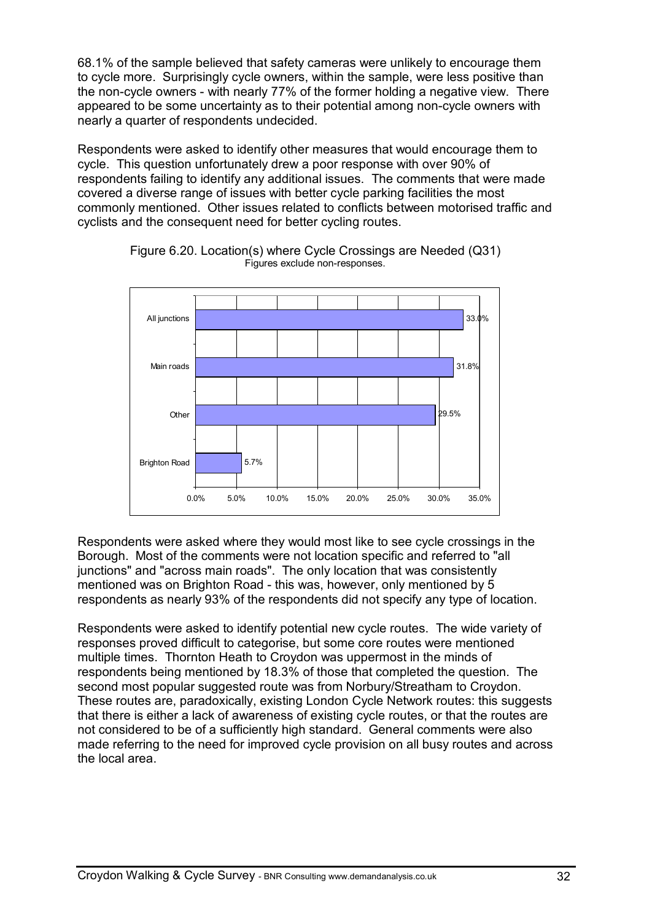68.1% of the sample believed that safety cameras were unlikely to encourage them to cycle more. Surprisingly cycle owners, within the sample, were less positive than the non-cycle owners - with nearly 77% of the former holding a negative view. There appeared to be some uncertainty as to their potential among non-cycle owners with nearly a quarter of respondents undecided.

Respondents were asked to identify other measures that would encourage them to cycle. This question unfortunately drew a poor response with over 90% of respondents failing to identify any additional issues. The comments that were made covered a diverse range of issues with better cycle parking facilities the most commonly mentioned. Other issues related to conflicts between motorised traffic and cyclists and the consequent need for better cycling routes.



Figure 6.20. Location(s) where Cycle Crossings are Needed (Q31) Figures exclude non-responses.

Respondents were asked where they would most like to see cycle crossings in the Borough. Most of the comments were not location specific and referred to "all junctions" and "across main roads". The only location that was consistently mentioned was on Brighton Road - this was, however, only mentioned by 5 respondents as nearly 93% of the respondents did not specify any type of location.

Respondents were asked to identify potential new cycle routes. The wide variety of responses proved difficult to categorise, but some core routes were mentioned multiple times. Thornton Heath to Croydon was uppermost in the minds of respondents being mentioned by 18.3% of those that completed the question. The second most popular suggested route was from Norbury/Streatham to Croydon. These routes are, paradoxically, existing London Cycle Network routes: this suggests that there is either a lack of awareness of existing cycle routes, or that the routes are not considered to be of a sufficiently high standard. General comments were also made referring to the need for improved cycle provision on all busy routes and across the local area.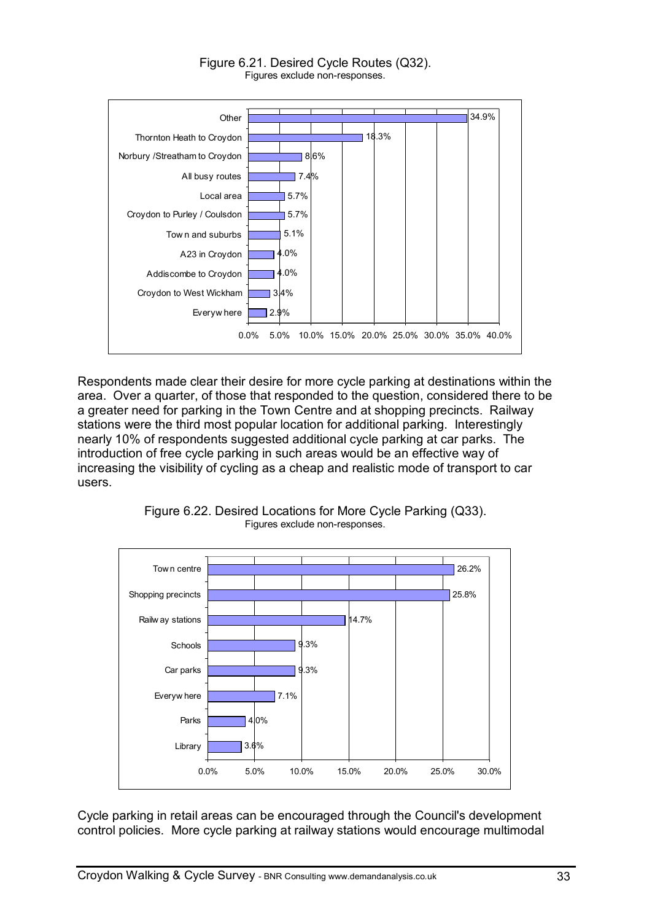

Respondents made clear their desire for more cycle parking at destinations within the area. Over a quarter, of those that responded to the question, considered there to be a greater need for parking in the Town Centre and at shopping precincts. Railway stations were the third most popular location for additional parking. Interestingly nearly 10% of respondents suggested additional cycle parking at car parks. The introduction of free cycle parking in such areas would be an effective way of increasing the visibility of cycling as a cheap and realistic mode of transport to car users.



Figure 6.22. Desired Locations for More Cycle Parking (Q33). Figures exclude non-responses.

Cycle parking in retail areas can be encouraged through the Council's development control policies. More cycle parking at railway stations would encourage multimodal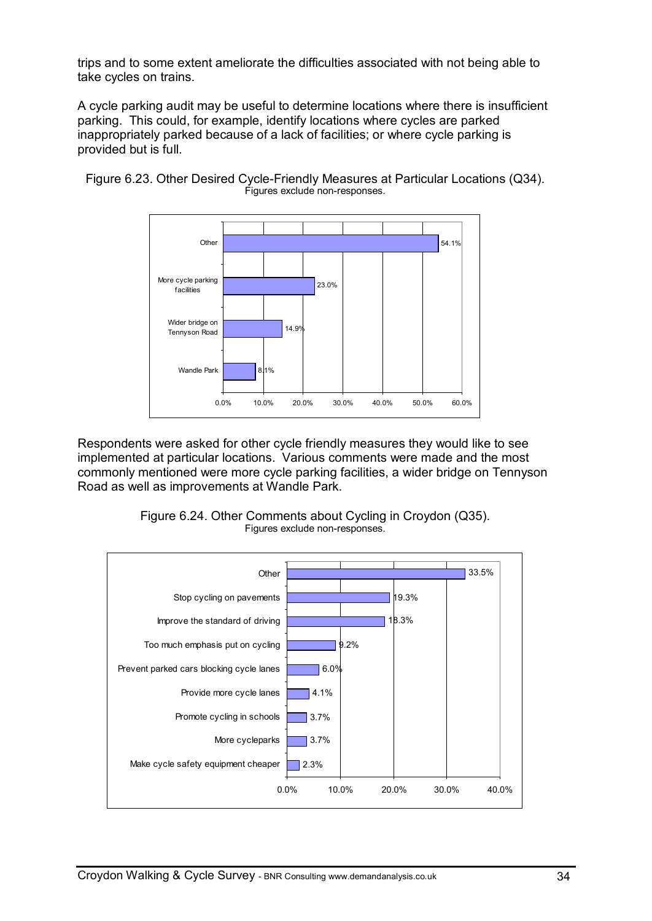trips and to some extent ameliorate the difficulties associated with not being able to take cycles on trains.

A cycle parking audit may be useful to determine locations where there is insufficient parking. This could, for example, identify locations where cycles are parked inappropriately parked because of a lack of facilities; or where cycle parking is provided but is full.



Figure 6.23. Other Desired Cycle-Friendly Measures at Particular Locations (Q34). Figures exclude non-responses.

Respondents were asked for other cycle friendly measures they would like to see implemented at particular locations. Various comments were made and the most commonly mentioned were more cycle parking facilities, a wider bridge on Tennyson Road as well as improvements at Wandle Park.



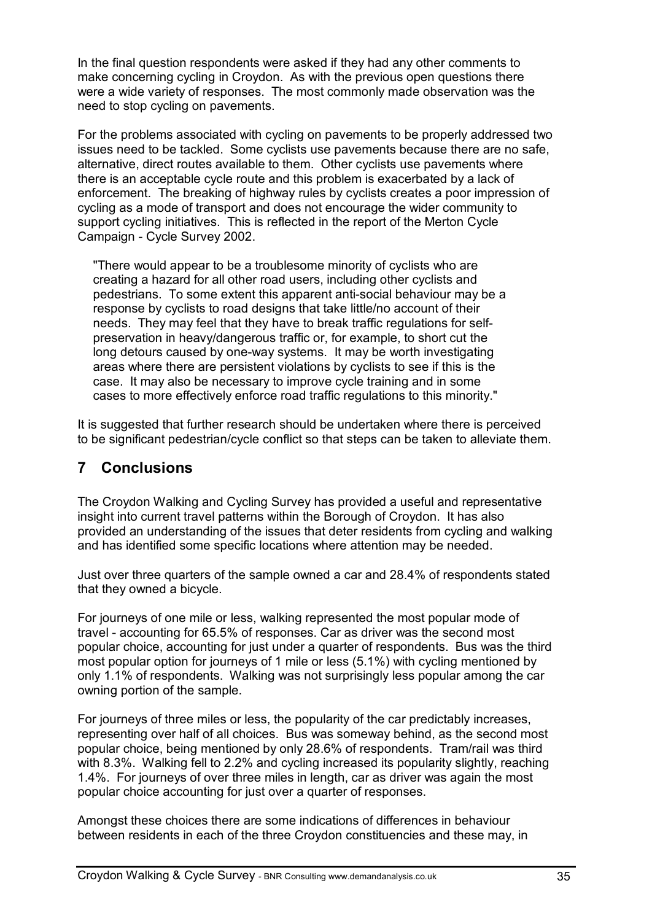In the final question respondents were asked if they had any other comments to make concerning cycling in Croydon. As with the previous open questions there were a wide variety of responses. The most commonly made observation was the need to stop cycling on pavements.

For the problems associated with cycling on pavements to be properly addressed two issues need to be tackled. Some cyclists use pavements because there are no safe, alternative, direct routes available to them. Other cyclists use pavements where there is an acceptable cycle route and this problem is exacerbated by a lack of enforcement. The breaking of highway rules by cyclists creates a poor impression of cycling as a mode of transport and does not encourage the wider community to support cycling initiatives. This is reflected in the report of the Merton Cycle Campaign - Cycle Survey 2002.

"There would appear to be a troublesome minority of cyclists who are creating a hazard for all other road users, including other cyclists and pedestrians. To some extent this apparent anti-social behaviour may be a response by cyclists to road designs that take little/no account of their needs. They may feel that they have to break traffic regulations for selfpreservation in heavy/dangerous traffic or, for example, to short cut the long detours caused by one-way systems. It may be worth investigating areas where there are persistent violations by cyclists to see if this is the case. It may also be necessary to improve cycle training and in some cases to more effectively enforce road traffic regulations to this minority."

It is suggested that further research should be undertaken where there is perceived to be significant pedestrian/cycle conflict so that steps can be taken to alleviate them.

### **7 Conclusions**

The Croydon Walking and Cycling Survey has provided a useful and representative insight into current travel patterns within the Borough of Croydon. It has also provided an understanding of the issues that deter residents from cycling and walking and has identified some specific locations where attention may be needed.

Just over three quarters of the sample owned a car and 28.4% of respondents stated that they owned a bicycle.

For journeys of one mile or less, walking represented the most popular mode of travel - accounting for 65.5% of responses. Car as driver was the second most popular choice, accounting for just under a quarter of respondents. Bus was the third most popular option for journeys of 1 mile or less (5.1%) with cycling mentioned by only 1.1% of respondents. Walking was not surprisingly less popular among the car owning portion of the sample.

For journeys of three miles or less, the popularity of the car predictably increases, representing over half of all choices. Bus was someway behind, as the second most popular choice, being mentioned by only 28.6% of respondents. Tram/rail was third with 8.3%. Walking fell to 2.2% and cycling increased its popularity slightly, reaching 1.4%. For journeys of over three miles in length, car as driver was again the most popular choice accounting for just over a quarter of responses.

Amongst these choices there are some indications of differences in behaviour between residents in each of the three Croydon constituencies and these may, in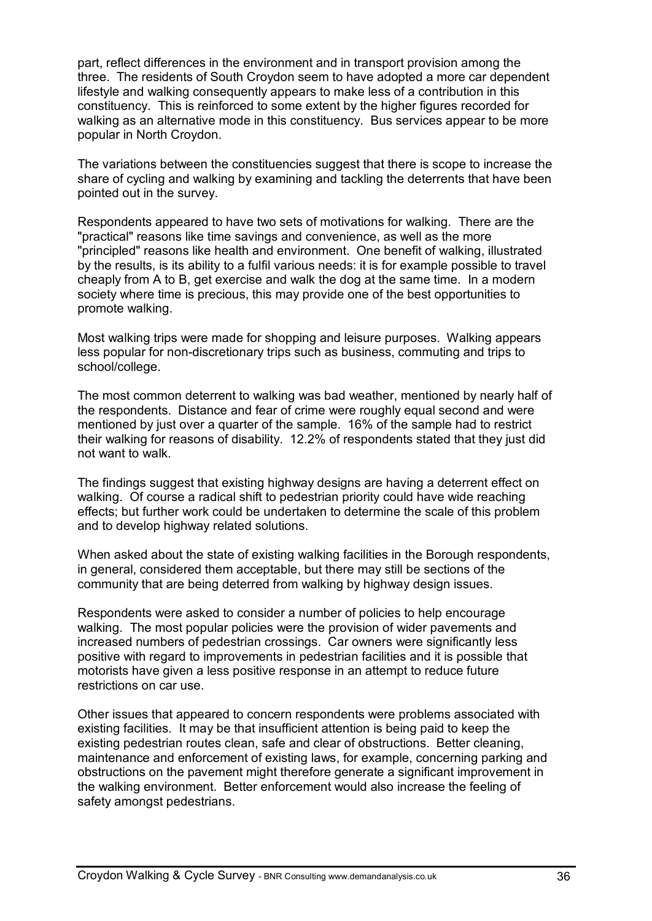part, reflect differences in the environment and in transport provision among the three. The residents of South Croydon seem to have adopted a more car dependent lifestyle and walking consequently appears to make less of a contribution in this constituency. This is reinforced to some extent by the higher figures recorded for walking as an alternative mode in this constituency. Bus services appear to be more popular in North Croydon.

The variations between the constituencies suggest that there is scope to increase the share of cycling and walking by examining and tackling the deterrents that have been pointed out in the survey.

Respondents appeared to have two sets of motivations for walking. There are the "practical" reasons like time savings and convenience, as well as the more "principled" reasons like health and environment. One benefit of walking, illustrated by the results, is its ability to a fulfil various needs: it is for example possible to travel cheaply from A to B, get exercise and walk the dog at the same time. In a modern society where time is precious, this may provide one of the best opportunities to promote walking.

Most walking trips were made for shopping and leisure purposes. Walking appears less popular for non-discretionary trips such as business, commuting and trips to school/college.

The most common deterrent to walking was bad weather, mentioned by nearly half of the respondents. Distance and fear of crime were roughly equal second and were mentioned by just over a quarter of the sample. 16% of the sample had to restrict their walking for reasons of disability. 12.2% of respondents stated that they just did not want to walk.

The findings suggest that existing highway designs are having a deterrent effect on walking. Of course a radical shift to pedestrian priority could have wide reaching effects; but further work could be undertaken to determine the scale of this problem and to develop highway related solutions.

When asked about the state of existing walking facilities in the Borough respondents, in general, considered them acceptable, but there may still be sections of the community that are being deterred from walking by highway design issues.

Respondents were asked to consider a number of policies to help encourage walking. The most popular policies were the provision of wider pavements and increased numbers of pedestrian crossings. Car owners were significantly less positive with regard to improvements in pedestrian facilities and it is possible that motorists have given a less positive response in an attempt to reduce future restrictions on car use.

Other issues that appeared to concern respondents were problems associated with existing facilities. It may be that insufficient attention is being paid to keep the existing pedestrian routes clean, safe and clear of obstructions. Better cleaning, maintenance and enforcement of existing laws, for example, concerning parking and obstructions on the pavement might therefore generate a significant improvement in the walking environment. Better enforcement would also increase the feeling of safety amongst pedestrians.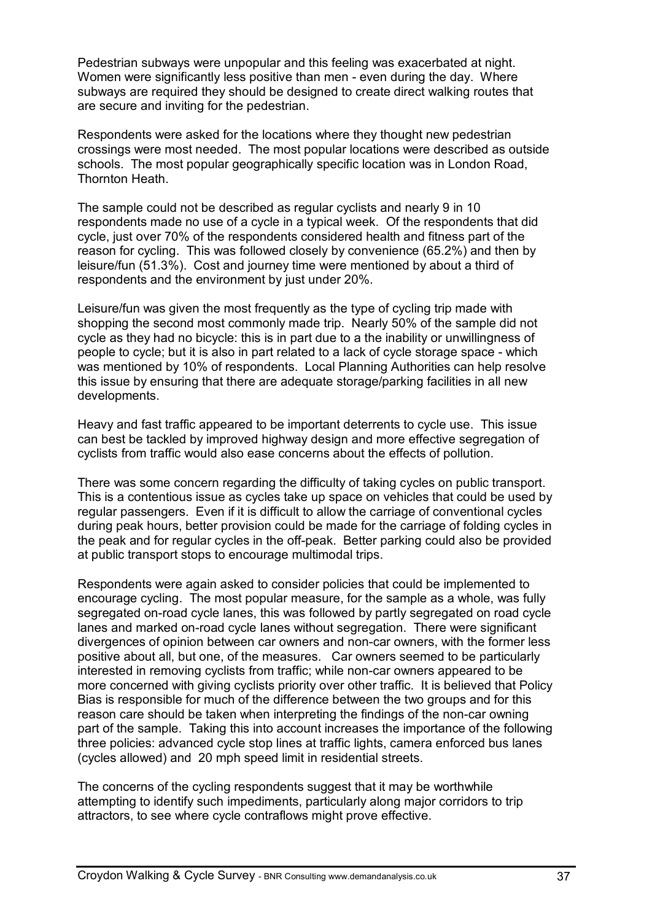Pedestrian subways were unpopular and this feeling was exacerbated at night. Women were significantly less positive than men - even during the day. Where subways are required they should be designed to create direct walking routes that are secure and inviting for the pedestrian.

Respondents were asked for the locations where they thought new pedestrian crossings were most needed. The most popular locations were described as outside schools. The most popular geographically specific location was in London Road, Thornton Heath.

The sample could not be described as regular cyclists and nearly 9 in 10 respondents made no use of a cycle in a typical week. Of the respondents that did cycle, just over 70% of the respondents considered health and fitness part of the reason for cycling. This was followed closely by convenience (65.2%) and then by leisure/fun (51.3%). Cost and journey time were mentioned by about a third of respondents and the environment by just under 20%.

Leisure/fun was given the most frequently as the type of cycling trip made with shopping the second most commonly made trip. Nearly 50% of the sample did not cycle as they had no bicycle: this is in part due to a the inability or unwillingness of people to cycle; but it is also in part related to a lack of cycle storage space - which was mentioned by 10% of respondents. Local Planning Authorities can help resolve this issue by ensuring that there are adequate storage/parking facilities in all new developments.

Heavy and fast traffic appeared to be important deterrents to cycle use. This issue can best be tackled by improved highway design and more effective segregation of cyclists from traffic would also ease concerns about the effects of pollution.

There was some concern regarding the difficulty of taking cycles on public transport. This is a contentious issue as cycles take up space on vehicles that could be used by regular passengers. Even if it is difficult to allow the carriage of conventional cycles during peak hours, better provision could be made for the carriage of folding cycles in the peak and for regular cycles in the off-peak. Better parking could also be provided at public transport stops to encourage multimodal trips.

Respondents were again asked to consider policies that could be implemented to encourage cycling. The most popular measure, for the sample as a whole, was fully segregated on-road cycle lanes, this was followed by partly segregated on road cycle lanes and marked on-road cycle lanes without segregation. There were significant divergences of opinion between car owners and non-car owners, with the former less positive about all, but one, of the measures. Car owners seemed to be particularly interested in removing cyclists from traffic; while non-car owners appeared to be more concerned with giving cyclists priority over other traffic. It is believed that Policy Bias is responsible for much of the difference between the two groups and for this reason care should be taken when interpreting the findings of the non-car owning part of the sample. Taking this into account increases the importance of the following three policies: advanced cycle stop lines at traffic lights, camera enforced bus lanes (cycles allowed) and 20 mph speed limit in residential streets.

The concerns of the cycling respondents suggest that it may be worthwhile attempting to identify such impediments, particularly along major corridors to trip attractors, to see where cycle contraflows might prove effective.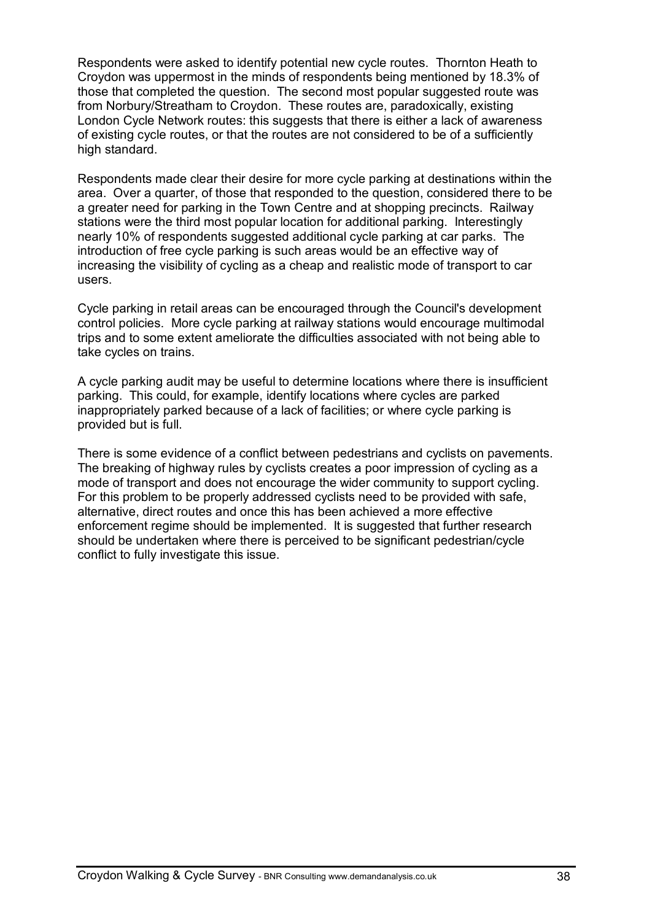Respondents were asked to identify potential new cycle routes. Thornton Heath to Croydon was uppermost in the minds of respondents being mentioned by 18.3% of those that completed the question. The second most popular suggested route was from Norbury/Streatham to Croydon. These routes are, paradoxically, existing London Cycle Network routes: this suggests that there is either a lack of awareness of existing cycle routes, or that the routes are not considered to be of a sufficiently high standard.

Respondents made clear their desire for more cycle parking at destinations within the area. Over a quarter, of those that responded to the question, considered there to be a greater need for parking in the Town Centre and at shopping precincts. Railway stations were the third most popular location for additional parking. Interestingly nearly 10% of respondents suggested additional cycle parking at car parks. The introduction of free cycle parking is such areas would be an effective way of increasing the visibility of cycling as a cheap and realistic mode of transport to car users.

Cycle parking in retail areas can be encouraged through the Council's development control policies. More cycle parking at railway stations would encourage multimodal trips and to some extent ameliorate the difficulties associated with not being able to take cycles on trains.

A cycle parking audit may be useful to determine locations where there is insufficient parking. This could, for example, identify locations where cycles are parked inappropriately parked because of a lack of facilities; or where cycle parking is provided but is full.

There is some evidence of a conflict between pedestrians and cyclists on pavements. The breaking of highway rules by cyclists creates a poor impression of cycling as a mode of transport and does not encourage the wider community to support cycling. For this problem to be properly addressed cyclists need to be provided with safe, alternative, direct routes and once this has been achieved a more effective enforcement regime should be implemented. It is suggested that further research should be undertaken where there is perceived to be significant pedestrian/cycle conflict to fully investigate this issue.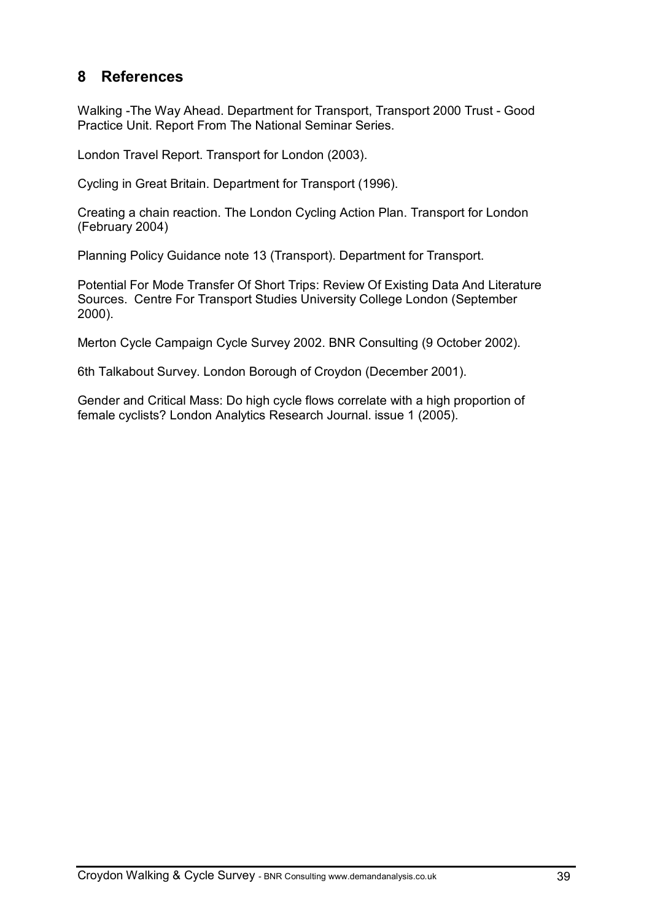### **8 References**

Walking -The Way Ahead. Department for Transport, Transport 2000 Trust - Good Practice Unit. Report From The National Seminar Series.

London Travel Report. Transport for London (2003).

Cycling in Great Britain. Department for Transport (1996).

Creating a chain reaction. The London Cycling Action Plan. Transport for London (February 2004)

Planning Policy Guidance note 13 (Transport). Department for Transport.

Potential For Mode Transfer Of Short Trips: Review Of Existing Data And Literature Sources. Centre For Transport Studies University College London (September 2000).

Merton Cycle Campaign Cycle Survey 2002. BNR Consulting (9 October 2002).

6th Talkabout Survey. London Borough of Croydon (December 2001).

Gender and Critical Mass: Do high cycle flows correlate with a high proportion of female cyclists? London Analytics Research Journal. issue 1 (2005).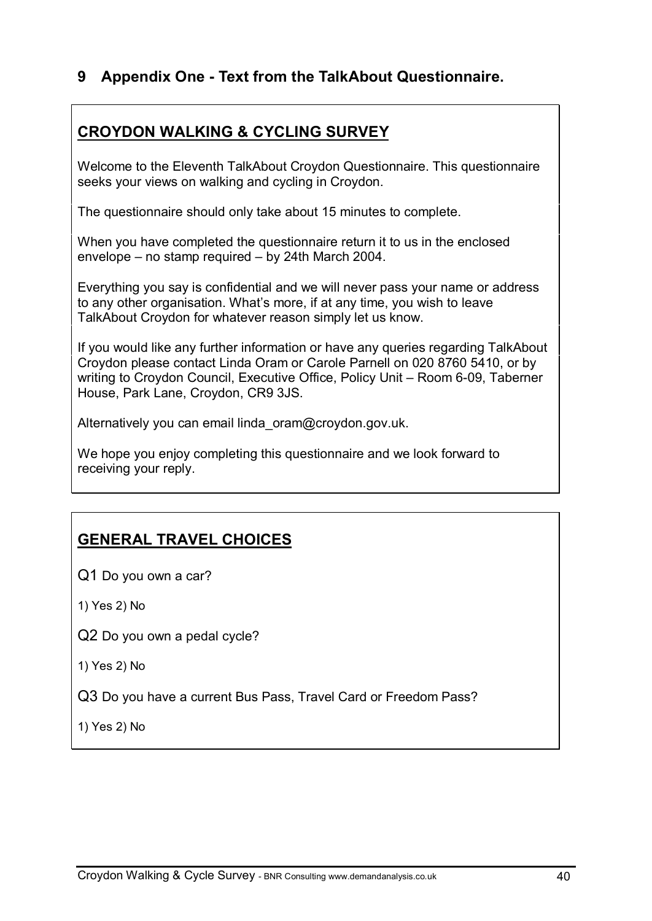### **9 Appendix One - Text from the TalkAbout Questionnaire.**

## **CROYDON WALKING & CYCLING SURVEY**

Welcome to the Eleventh TalkAbout Croydon Questionnaire. This questionnaire seeks your views on walking and cycling in Croydon.

The questionnaire should only take about 15 minutes to complete.

When you have completed the questionnaire return it to us in the enclosed envelope – no stamp required – by 24th March 2004.

Everything you say is confidential and we will never pass your name or address to any other organisation. What's more, if at any time, you wish to leave TalkAbout Croydon for whatever reason simply let us know.

If you would like any further information or have any queries regarding TalkAbout Croydon please contact Linda Oram or Carole Parnell on 020 8760 5410, or by writing to Croydon Council, Executive Office, Policy Unit – Room 6-09, Taberner House, Park Lane, Croydon, CR9 3JS.

Alternatively you can email linda oram@croydon.gov.uk.

We hope you enjoy completing this questionnaire and we look forward to receiving your reply.

# **GENERAL TRAVEL CHOICES**

Q1 Do you own a car?

1) Yes 2) No

Q2 Do you own a pedal cycle?

1) Yes 2) No

Q3 Do you have a current Bus Pass, Travel Card or Freedom Pass?

1) Yes 2) No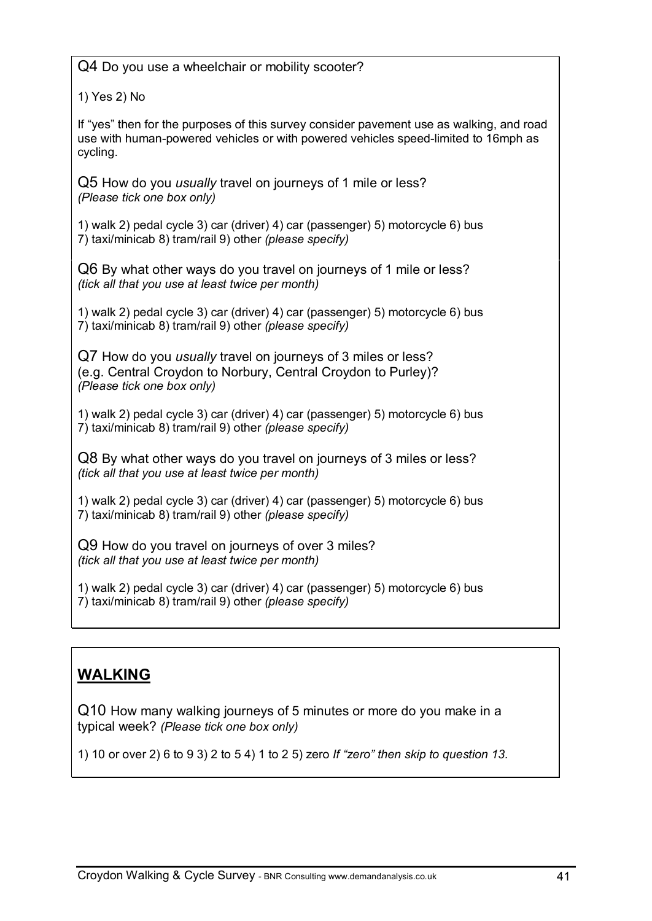Q4 Do you use a wheelchair or mobility scooter?

1) Yes 2) No

If "yes" then for the purposes of this survey consider pavement use as walking, and road use with human-powered vehicles or with powered vehicles speed-limited to 16mph as cycling.

Q5 How do you *usually* travel on journeys of 1 mile or less? *(Please tick one box only)*

1) walk 2) pedal cycle 3) car (driver) 4) car (passenger) 5) motorcycle 6) bus 7) taxi/minicab 8) tram/rail 9) other *(please specify)*

Q6 By what other ways do you travel on journeys of 1 mile or less? *(tick all that you use at least twice per month)*

1) walk 2) pedal cycle 3) car (driver) 4) car (passenger) 5) motorcycle 6) bus 7) taxi/minicab 8) tram/rail 9) other *(please specify)*

Q7 How do you *usually* travel on journeys of 3 miles or less? (e.g. Central Croydon to Norbury, Central Croydon to Purley)? *(Please tick one box only)*

1) walk 2) pedal cycle 3) car (driver) 4) car (passenger) 5) motorcycle 6) bus 7) taxi/minicab 8) tram/rail 9) other *(please specify)*

Q8 By what other ways do you travel on journeys of 3 miles or less? *(tick all that you use at least twice per month)*

1) walk 2) pedal cycle 3) car (driver) 4) car (passenger) 5) motorcycle 6) bus 7) taxi/minicab 8) tram/rail 9) other *(please specify)*

Q9 How do you travel on journeys of over 3 miles? *(tick all that you use at least twice per month)*

1) walk 2) pedal cycle 3) car (driver) 4) car (passenger) 5) motorcycle 6) bus 7) taxi/minicab 8) tram/rail 9) other *(please specify)*

### **WALKING**

Q10 How many walking journeys of 5 minutes or more do you make in a typical week? *(Please tick one box only)*

1) 10 or over 2) 6 to 9 3) 2 to 5 4) 1 to 2 5) zero *If "zero" then skip to question 13.*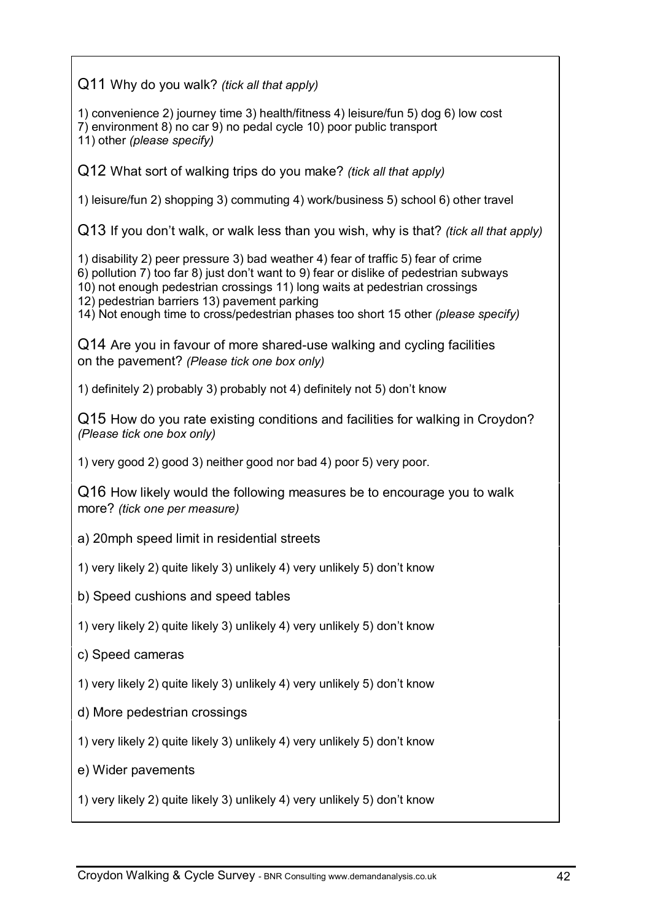Q11 Why do you walk? *(tick all that apply)*

1) convenience 2) journey time 3) health/fitness 4) leisure/fun 5) dog 6) low cost 7) environment 8) no car 9) no pedal cycle 10) poor public transport 11) other *(please specify)*

Q12 What sort of walking trips do you make? *(tick all that apply)*

1) leisure/fun 2) shopping 3) commuting 4) work/business 5) school 6) other travel

Q13 If you don't walk, or walk less than you wish, why is that? *(tick all that apply)*

1) disability 2) peer pressure 3) bad weather 4) fear of traffic 5) fear of crime 6) pollution 7) too far 8) just don't want to 9) fear or dislike of pedestrian subways 10) not enough pedestrian crossings 11) long waits at pedestrian crossings 12) pedestrian barriers 13) pavement parking

14) Not enough time to cross/pedestrian phases too short 15 other *(please specify)*

Q14 Are you in favour of more shared-use walking and cycling facilities on the pavement? *(Please tick one box only)*

1) definitely 2) probably 3) probably not 4) definitely not 5) don't know

Q15 How do you rate existing conditions and facilities for walking in Croydon? *(Please tick one box only)*

1) very good 2) good 3) neither good nor bad 4) poor 5) very poor.

Q16 How likely would the following measures be to encourage you to walk more? *(tick one per measure)*

- a) 20mph speed limit in residential streets
- 1) very likely 2) quite likely 3) unlikely 4) very unlikely 5) don't know
- b) Speed cushions and speed tables
- 1) very likely 2) quite likely 3) unlikely 4) very unlikely 5) don't know
- c) Speed cameras
- 1) very likely 2) quite likely 3) unlikely 4) very unlikely 5) don't know
- d) More pedestrian crossings
- 1) very likely 2) quite likely 3) unlikely 4) very unlikely 5) don't know
- e) Wider pavements

1) very likely 2) quite likely 3) unlikely 4) very unlikely 5) don't know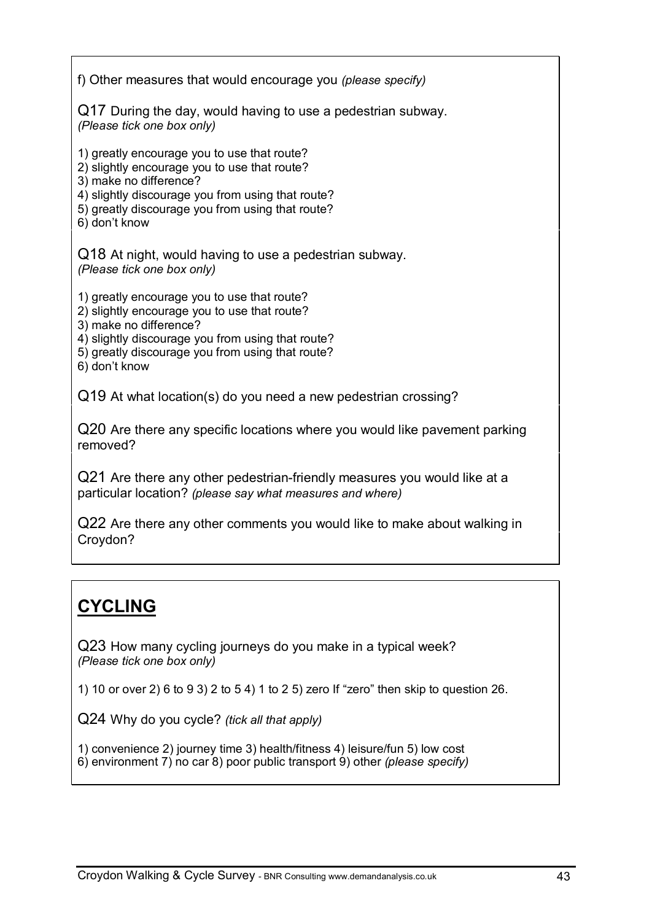f) Other measures that would encourage you *(please specify)* Q17 During the day, would having to use a pedestrian subway. *(Please tick one box only)* 1) greatly encourage you to use that route? 2) slightly encourage you to use that route? 3) make no difference? 4) slightly discourage you from using that route? 5) greatly discourage you from using that route? 6) don't know Q18 At night, would having to use a pedestrian subway. *(Please tick one box only)* 1) greatly encourage you to use that route? 2) slightly encourage you to use that route? 3) make no difference? 4) slightly discourage you from using that route? 5) greatly discourage you from using that route? 6) don't know Q19 At what location(s) do you need a new pedestrian crossing? Q20 Are there any specific locations where you would like pavement parking removed? Q21 Are there any other pedestrian-friendly measures you would like at a particular location? *(please say what measures and where)*

Q22 Are there any other comments you would like to make about walking in Croydon?

# **CYCLING**

Q23 How many cycling journeys do you make in a typical week? *(Please tick one box only)*

1) 10 or over 2) 6 to 9 3) 2 to 5 4) 1 to 2 5) zero If "zero" then skip to question 26.

Q24 Why do you cycle? *(tick all that apply)*

1) convenience 2) journey time 3) health/fitness 4) leisure/fun 5) low cost

6) environment 7) no car 8) poor public transport 9) other *(please specify)*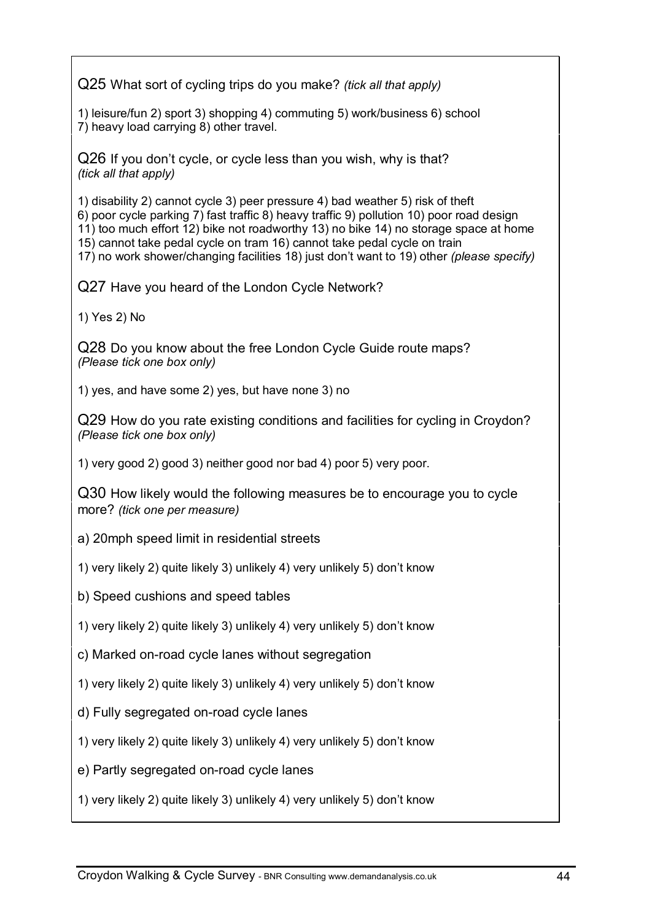Q25 What sort of cycling trips do you make? *(tick all that apply)*

1) leisure/fun 2) sport 3) shopping 4) commuting 5) work/business 6) school 7) heavy load carrying 8) other travel.

Q26 If you don't cycle, or cycle less than you wish, why is that? *(tick all that apply)*

1) disability 2) cannot cycle 3) peer pressure 4) bad weather 5) risk of theft 6) poor cycle parking 7) fast traffic 8) heavy traffic 9) pollution 10) poor road design 11) too much effort 12) bike not roadworthy 13) no bike 14) no storage space at home 15) cannot take pedal cycle on tram 16) cannot take pedal cycle on train 17) no work shower/changing facilities 18) just don't want to 19) other *(please specify)*

Q27 Have you heard of the London Cycle Network?

1) Yes 2) No

Q28 Do you know about the free London Cycle Guide route maps? *(Please tick one box only)*

1) yes, and have some 2) yes, but have none 3) no

Q29 How do you rate existing conditions and facilities for cycling in Croydon? *(Please tick one box only)*

1) very good 2) good 3) neither good nor bad 4) poor 5) very poor.

Q30 How likely would the following measures be to encourage you to cycle more? *(tick one per measure)*

- a) 20mph speed limit in residential streets
- 1) very likely 2) quite likely 3) unlikely 4) very unlikely 5) don't know
- b) Speed cushions and speed tables
- 1) very likely 2) quite likely 3) unlikely 4) very unlikely 5) don't know

c) Marked on-road cycle lanes without segregation

- 1) very likely 2) quite likely 3) unlikely 4) very unlikely 5) don't know
- d) Fully segregated on-road cycle lanes
- 1) very likely 2) quite likely 3) unlikely 4) very unlikely 5) don't know
- e) Partly segregated on-road cycle lanes
- 1) very likely 2) quite likely 3) unlikely 4) very unlikely 5) don't know